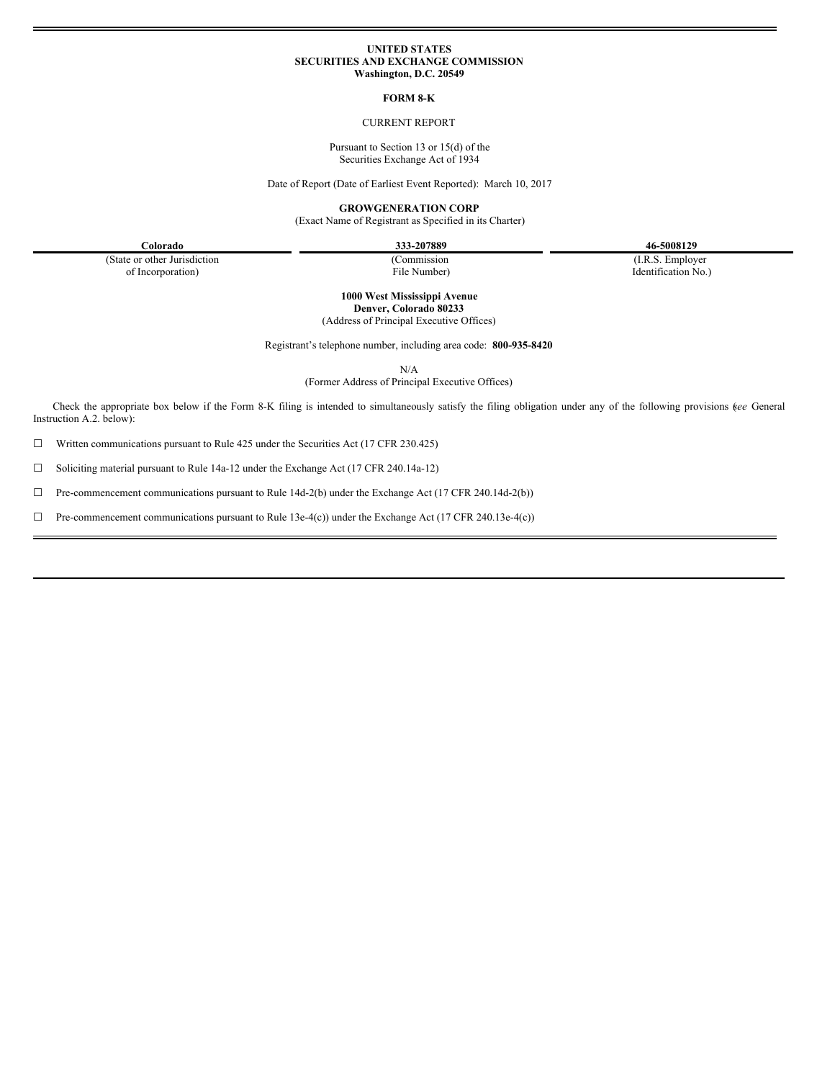#### **UNITED STATES SECURITIES AND EXCHANGE COMMISSION Washington, D.C. 20549**

#### **FORM 8-K**

## CURRENT REPORT

Pursuant to Section 13 or 15(d) of the Securities Exchange Act of 1934

Date of Report (Date of Earliest Event Reported): March 10, 2017

**GROWGENERATION CORP**

(Exact Name of Registrant as Specified in its Charter)

**Colorado 333-207889 46-5008129**

(State or other Jurisdiction of Incorporation)

(Commission File Number)

(I.R.S. Employer Identification No.)

**1000 West Mississippi Avenue Denver, Colorado 80233** (Address of Principal Executive Offices)

Registrant's telephone number, including area code: **800-935-8420**

N/A

(Former Address of Principal Executive Offices)

Check the appropriate box below if the Form 8-K filing is intended to simultaneously satisfy the filing obligation under any of the following provisions (*see* General Instruction A.2. below):

☐ Written communications pursuant to Rule 425 under the Securities Act (17 CFR 230.425)

☐ Soliciting material pursuant to Rule 14a-12 under the Exchange Act (17 CFR 240.14a-12)

☐ Pre-commencement communications pursuant to Rule 14d-2(b) under the Exchange Act (17 CFR 240.14d-2(b))

☐ Pre-commencement communications pursuant to Rule 13e-4(c)) under the Exchange Act (17 CFR 240.13e-4(c))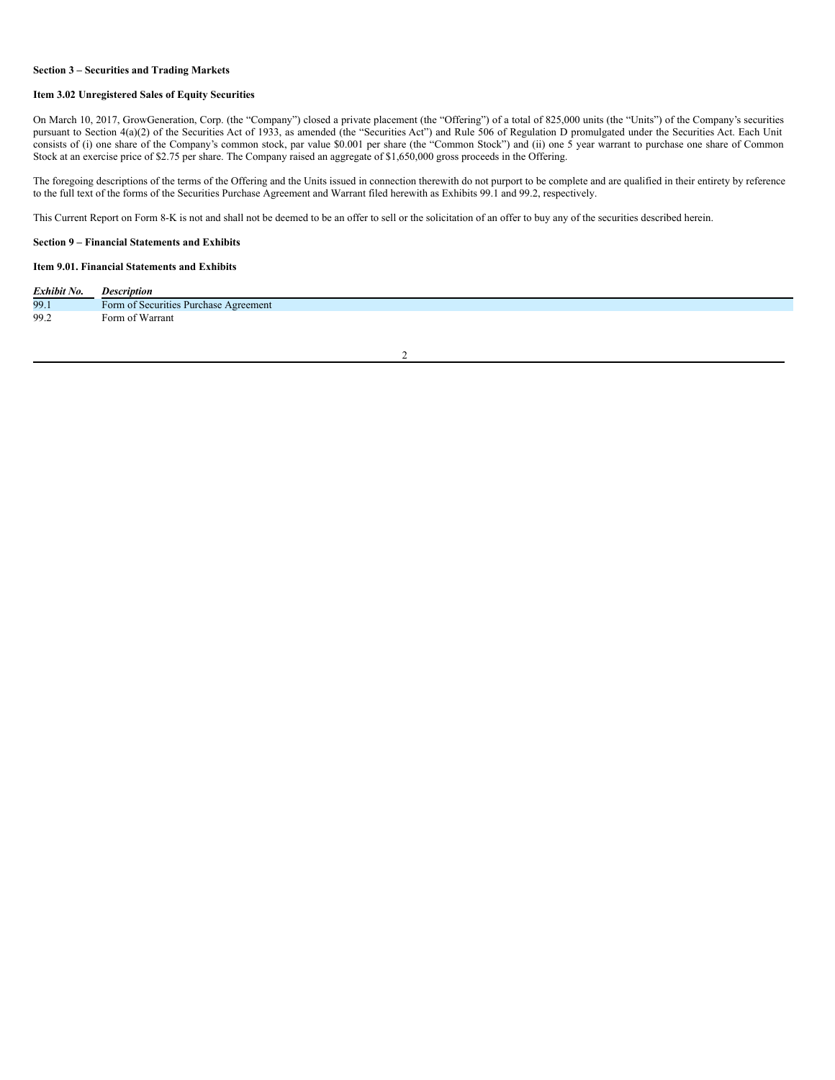#### **Section 3 – Securities and Trading Markets**

## **Item 3.02 Unregistered Sales of Equity Securities**

On March 10, 2017, GrowGeneration, Corp. (the "Company") closed a private placement (the "Offering") of a total of 825,000 units (the "Units") of the Company's securities pursuant to Section 4(a)(2) of the Securities Act of 1933, as amended (the "Securities Act") and Rule 506 of Regulation D promulgated under the Securities Act. Each Unit consists of (i) one share of the Company's common stock, par value \$0.001 per share (the "Common Stock") and (ii) one 5 year warrant to purchase one share of Common Stock at an exercise price of \$2.75 per share. The Company raised an aggregate of \$1,650,000 gross proceeds in the Offering.

The foregoing descriptions of the terms of the Offering and the Units issued in connection therewith do not purport to be complete and are qualified in their entirety by reference to the full text of the forms of the Securities Purchase Agreement and Warrant filed herewith as Exhibits 99.1 and 99.2, respectively.

This Current Report on Form 8-K is not and shall not be deemed to be an offer to sell or the solicitation of an offer to buy any of the securities described herein.

### **Section 9 – Financial Statements and Exhibits**

#### **Item 9.01. Financial Statements and Exhibits**

| Exhibit No. | <b>Description</b>                                                                                 |
|-------------|----------------------------------------------------------------------------------------------------|
| 99.1        | Form of Securities Purchase Agreement                                                              |
| 99.2        | Form of Warrant<br>the contract of the contract of the contract of the contract of the contract of |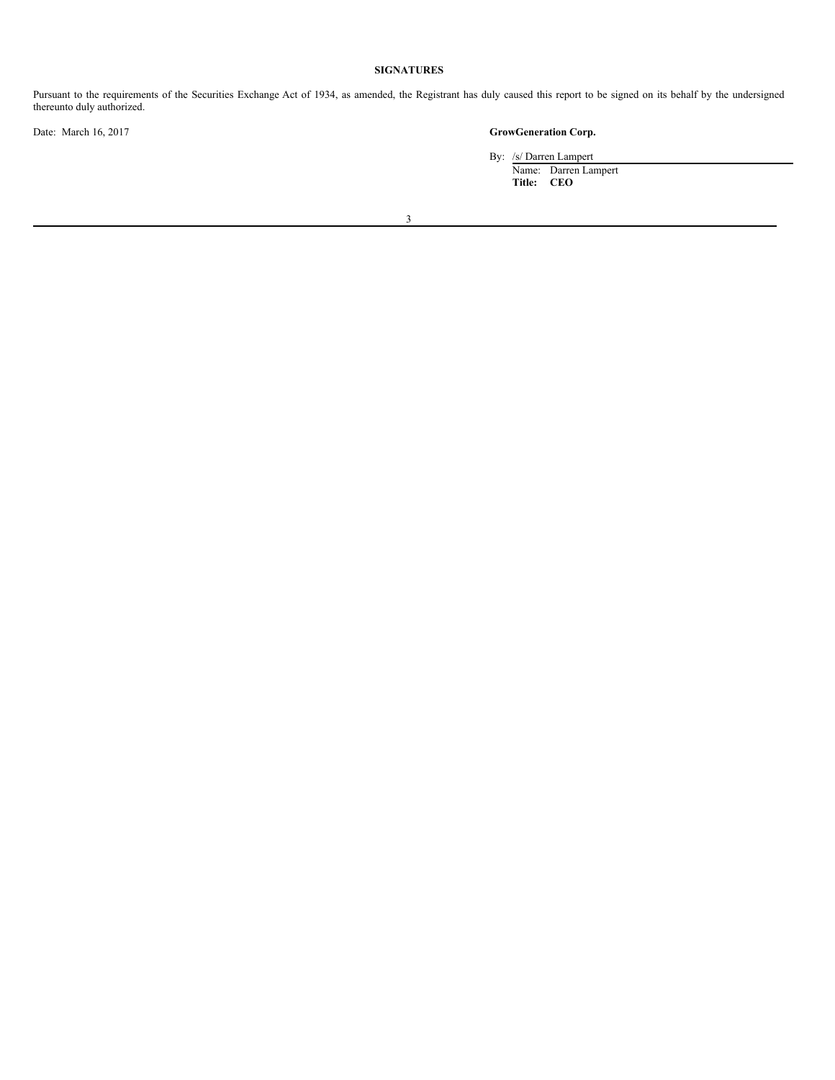# **SIGNATURES**

Pursuant to the requirements of the Securities Exchange Act of 1934, as amended, the Registrant has duly caused this report to be signed on its behalf by the undersigned thereunto duly authorized.

# Date: March 16, 2017 **GrowGeneration Corp.**

By: /s/ Darren Lampert

Name: Darren Lampert **Title: CEO**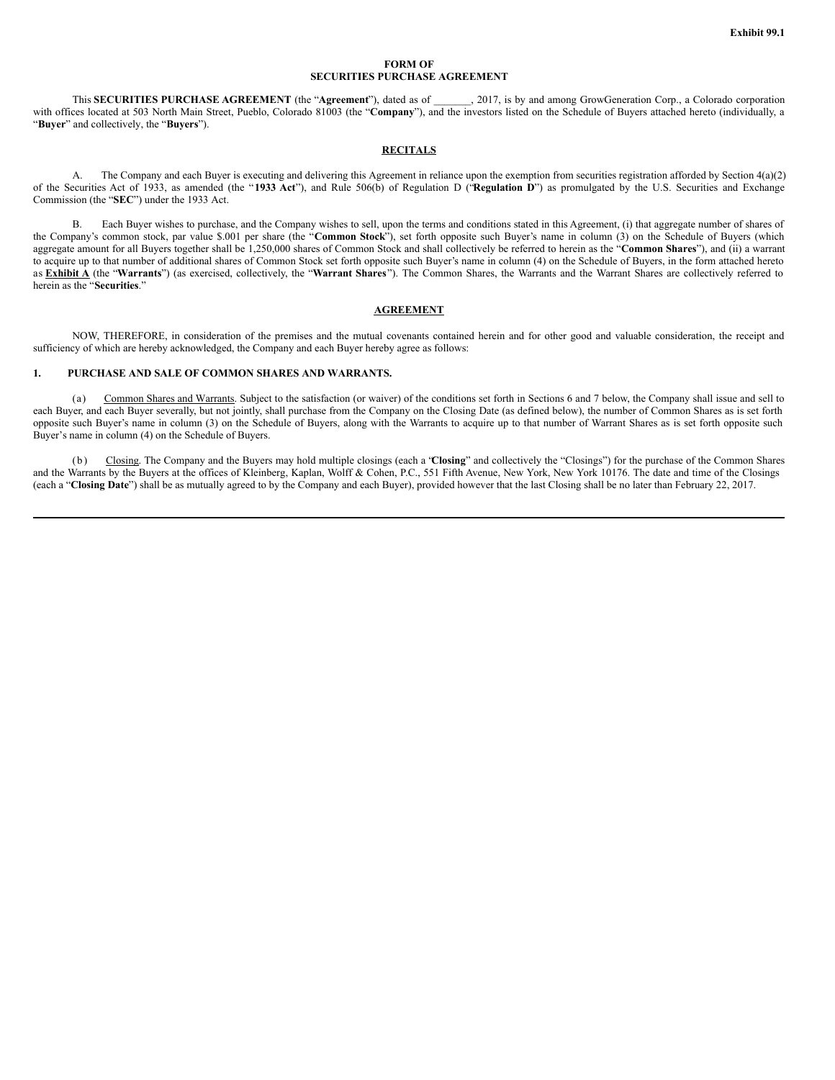### **FORM OF SECURITIES PURCHASE AGREEMENT**

This **SECURITIES PURCHASE AGREEMENT** (the "**Agreement**"), dated as of \_\_\_\_\_\_\_, 2017, is by and among GrowGeneration Corp., a Colorado corporation with offices located at 503 North Main Street, Pueblo, Colorado 81003 (the "Company"), and the investors listed on the Schedule of Buyers attached hereto (individually, a "**Buyer**" and collectively, the "**Buyers**").

## **RECITALS**

A. The Company and each Buyer is executing and delivering this Agreement in reliance upon the exemption from securities registration afforded by Section 4(a)(2) of the Securities Act of 1933, as amended (the "**1933 Act**"), and Rule 506(b) of Regulation D ("**Regulation D**") as promulgated by the U.S. Securities and Exchange Commission (the "**SEC**") under the 1933 Act.

B. Each Buyer wishes to purchase, and the Company wishes to sell, upon the terms and conditions stated in this Agreement, (i) that aggregate number of shares of the Company's common stock, par value \$.001 per share (the "**Common Stock**"), set forth opposite such Buyer's name in column (3) on the Schedule of Buyers (which aggregate amount for all Buyers together shall be 1,250,000 shares of Common Stock and shall collectively be referred to herein as the "**Common Shares**"), and (ii) a warrant to acquire up to that number of additional shares of Common Stock set forth opposite such Buyer's name in column (4) on the Schedule of Buyers, in the form attached hereto as **Exhibit A** (the "**Warrants**") (as exercised, collectively, the "**Warrant Shares**"). The Common Shares, the Warrants and the Warrant Shares are collectively referred to herein as the "**Securities**."

## **AGREEMENT**

NOW, THEREFORE, in consideration of the premises and the mutual covenants contained herein and for other good and valuable consideration, the receipt and sufficiency of which are hereby acknowledged, the Company and each Buyer hereby agree as follows:

#### **1. PURCHASE AND SALE OF COMMON SHARES AND WARRANTS.**

(a) Common Shares and Warrants. Subject to the satisfaction (or waiver) of the conditions set forth in Sections 6 and 7 below, the Company shall issue and sell to each Buyer, and each Buyer severally, but not jointly, shall purchase from the Company on the Closing Date (as defined below), the number of Common Shares as is set forth opposite such Buyer's name in column (3) on the Schedule of Buyers, along with the Warrants to acquire up to that number of Warrant Shares as is set forth opposite such Buyer's name in column (4) on the Schedule of Buyers.

(b) Closing. The Company and the Buyers may hold multiple closings (each a "**Closing**" and collectively the "Closings") for the purchase of the Common Shares and the Warrants by the Buyers at the offices of Kleinberg, Kaplan, Wolff & Cohen, P.C., 551 Fifth Avenue, New York, New York 10176. The date and time of the Closings (each a "**Closing Date**") shall be as mutually agreed to by the Company and each Buyer), provided however that the last Closing shall be no later than February 22, 2017.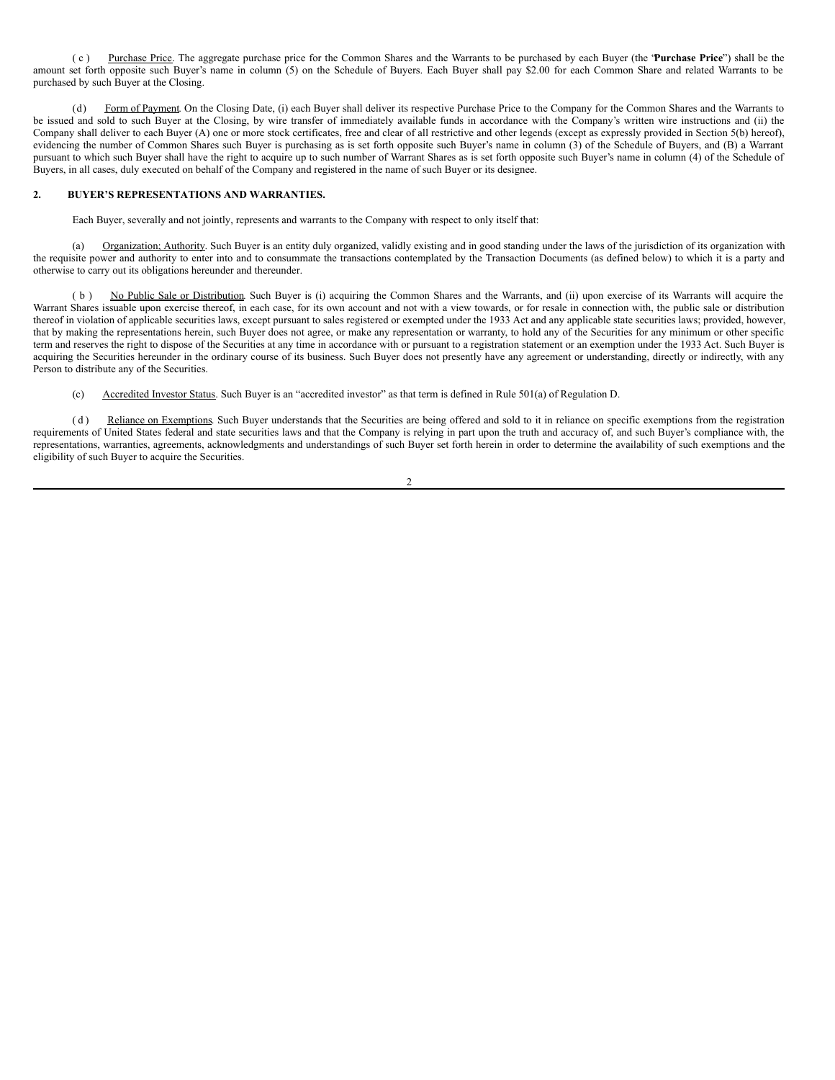( c ) Purchase Price. The aggregate purchase price for the Common Shares and the Warrants to be purchased by each Buyer (the "**Purchase Price**") shall be the amount set forth opposite such Buyer's name in column (5) on the Schedule of Buyers. Each Buyer shall pay \$2.00 for each Common Share and related Warrants to be purchased by such Buyer at the Closing.

Form of Payment. On the Closing Date, (i) each Buyer shall deliver its respective Purchase Price to the Company for the Common Shares and the Warrants to be issued and sold to such Buyer at the Closing, by wire transfer of immediately available funds in accordance with the Company's written wire instructions and (ii) the Company shall deliver to each Buyer (A) one or more stock certificates, free and clear of all restrictive and other legends (except as expressly provided in Section 5(b) hereof), evidencing the number of Common Shares such Buyer is purchasing as is set forth opposite such Buyer's name in column (3) of the Schedule of Buyers, and (B) a Warrant pursuant to which such Buyer shall have the right to acquire up to such number of Warrant Shares as is set forth opposite such Buyer's name in column (4) of the Schedule of Buyers, in all cases, duly executed on behalf of the Company and registered in the name of such Buyer or its designee.

### **2. BUYER'S REPRESENTATIONS AND WARRANTIES.**

Each Buyer, severally and not jointly, represents and warrants to the Company with respect to only itself that:

(a) Organization; Authority. Such Buyer is an entity duly organized, validly existing and in good standing under the laws of the jurisdiction of its organization with the requisite power and authority to enter into and to consummate the transactions contemplated by the Transaction Documents (as defined below) to which it is a party and otherwise to carry out its obligations hereunder and thereunder.

( b ) No Public Sale or Distribution. Such Buyer is (i) acquiring the Common Shares and the Warrants, and (ii) upon exercise of its Warrants will acquire the Warrant Shares issuable upon exercise thereof, in each case, for its own account and not with a view towards, or for resale in connection with, the public sale or distribution thereof in violation of applicable securities laws, except pursuant to sales registered or exempted under the 1933 Act and any applicable state securities laws; provided, however, that by making the representations herein, such Buyer does not agree, or make any representation or warranty, to hold any of the Securities for any minimum or other specific term and reserves the right to dispose of the Securities at any time in accordance with or pursuant to a registration statement or an exemption under the 1933 Act. Such Buyer is acquiring the Securities hereunder in the ordinary course of its business. Such Buyer does not presently have any agreement or understanding, directly or indirectly, with any Person to distribute any of the Securities.

(c) Accredited Investor Status. Such Buyer is an "accredited investor" as that term is defined in Rule 501(a) of Regulation D.

(d) Reliance on Exemptions. Such Buyer understands that the Securities are being offered and sold to it in reliance on specific exemptions from the registration requirements of United States federal and state securities laws and that the Company is relying in part upon the truth and accuracy of, and such Buyer's compliance with, the representations, warranties, agreements, acknowledgments and understandings of such Buyer set forth herein in order to determine the availability of such exemptions and the eligibility of such Buyer to acquire the Securities.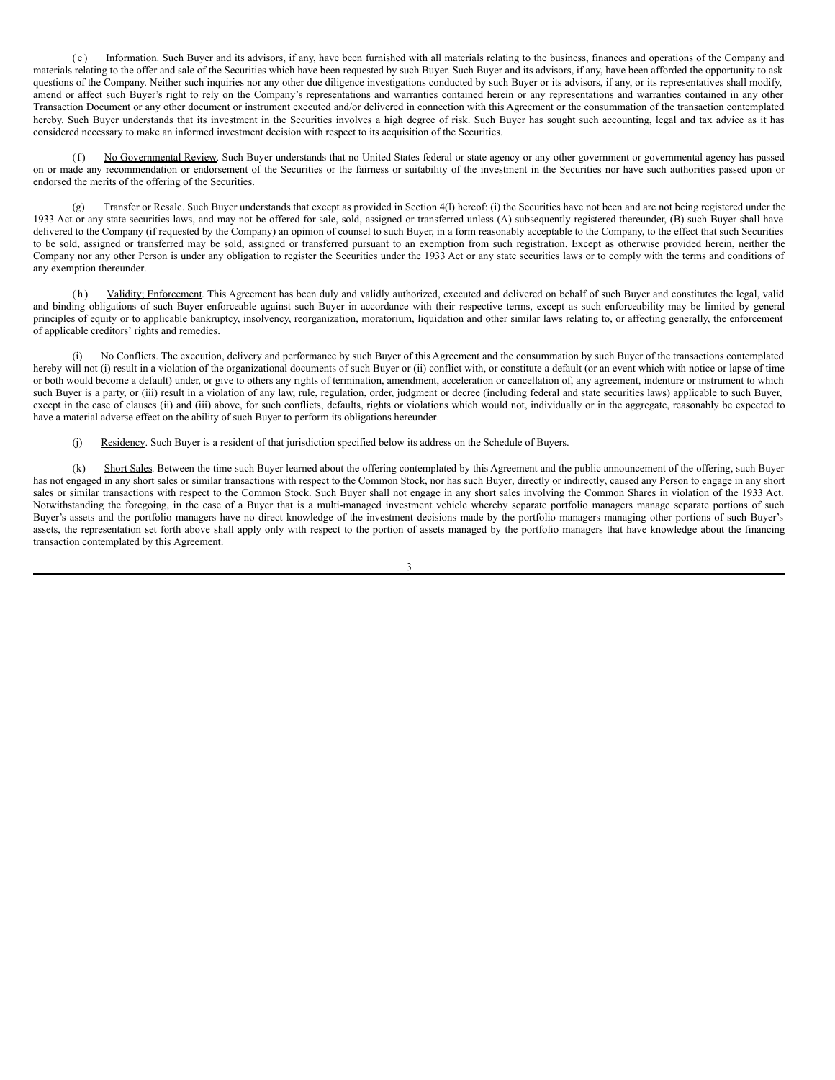( e ) Information. Such Buyer and its advisors, if any, have been furnished with all materials relating to the business, finances and operations of the Company and materials relating to the offer and sale of the Securities which have been requested by such Buyer. Such Buyer and its advisors, if any, have been afforded the opportunity to ask questions of the Company. Neither such inquiries nor any other due diligence investigations conducted by such Buyer or its advisors, if any, or its representatives shall modify, amend or affect such Buyer's right to rely on the Company's representations and warranties contained herein or any representations and warranties contained in any other Transaction Document or any other document or instrument executed and/or delivered in connection with this Agreement or the consummation of the transaction contemplated hereby. Such Buyer understands that its investment in the Securities involves a high degree of risk. Such Buyer has sought such accounting, legal and tax advice as it has considered necessary to make an informed investment decision with respect to its acquisition of the Securities.

(f) No Governmental Review. Such Buyer understands that no United States federal or state agency or any other government or governmental agency has passed on or made any recommendation or endorsement of the Securities or the fairness or suitability of the investment in the Securities nor have such authorities passed upon or endorsed the merits of the offering of the Securities.

Transfer or Resale. Such Buyer understands that except as provided in Section 4(l) hereof: (i) the Securities have not been and are not being registered under the 1933 Act or any state securities laws, and may not be offered for sale, sold, assigned or transferred unless (A) subsequently registered thereunder, (B) such Buyer shall have delivered to the Company (if requested by the Company) an opinion of counsel to such Buyer, in a form reasonably acceptable to the Company, to the effect that such Securities to be sold, assigned or transferred may be sold, assigned or transferred pursuant to an exemption from such registration. Except as otherwise provided herein, neither the Company nor any other Person is under any obligation to register the Securities under the 1933 Act or any state securities laws or to comply with the terms and conditions of any exemption thereunder.

(h) Validity; Enforcement. This Agreement has been duly and validly authorized, executed and delivered on behalf of such Buyer and constitutes the legal, valid and binding obligations of such Buyer enforceable against such Buyer in accordance with their respective terms, except as such enforceability may be limited by general principles of equity or to applicable bankruptcy, insolvency, reorganization, moratorium, liquidation and other similar laws relating to, or affecting generally, the enforcement of applicable creditors' rights and remedies.

(i) No Conflicts. The execution, delivery and performance by such Buyer of this Agreement and the consummation by such Buyer of the transactions contemplated hereby will not (i) result in a violation of the organizational documents of such Buyer or (ii) conflict with, or constitute a default (or an event which with notice or lapse of time or both would become a default) under, or give to others any rights of termination, amendment, acceleration or cancellation of, any agreement, indenture or instrument to which such Buyer is a party, or (iii) result in a violation of any law, rule, regulation, order, judgment or decree (including federal and state securities laws) applicable to such Buyer, except in the case of clauses (ii) and (iii) above, for such conflicts, defaults, rights or violations which would not, individually or in the aggregate, reasonably be expected to have a material adverse effect on the ability of such Buyer to perform its obligations hereunder.

(j) Residency. Such Buyer is a resident of that jurisdiction specified below its address on the Schedule of Buyers.

(k) Short Sales. Between the time such Buyer learned about the offering contemplated by this Agreement and the public announcement of the offering, such Buyer has not engaged in any short sales or similar transactions with respect to the Common Stock, nor has such Buyer, directly or indirectly, caused any Person to engage in any short sales or similar transactions with respect to the Common Stock. Such Buyer shall not engage in any short sales involving the Common Shares in violation of the 1933 Act. Notwithstanding the foregoing, in the case of a Buyer that is a multi-managed investment vehicle whereby separate portfolio managers manage separate portions of such Buyer's assets and the portfolio managers have no direct knowledge of the investment decisions made by the portfolio managers managing other portions of such Buyer's assets, the representation set forth above shall apply only with respect to the portion of assets managed by the portfolio managers that have knowledge about the financing transaction contemplated by this Agreement.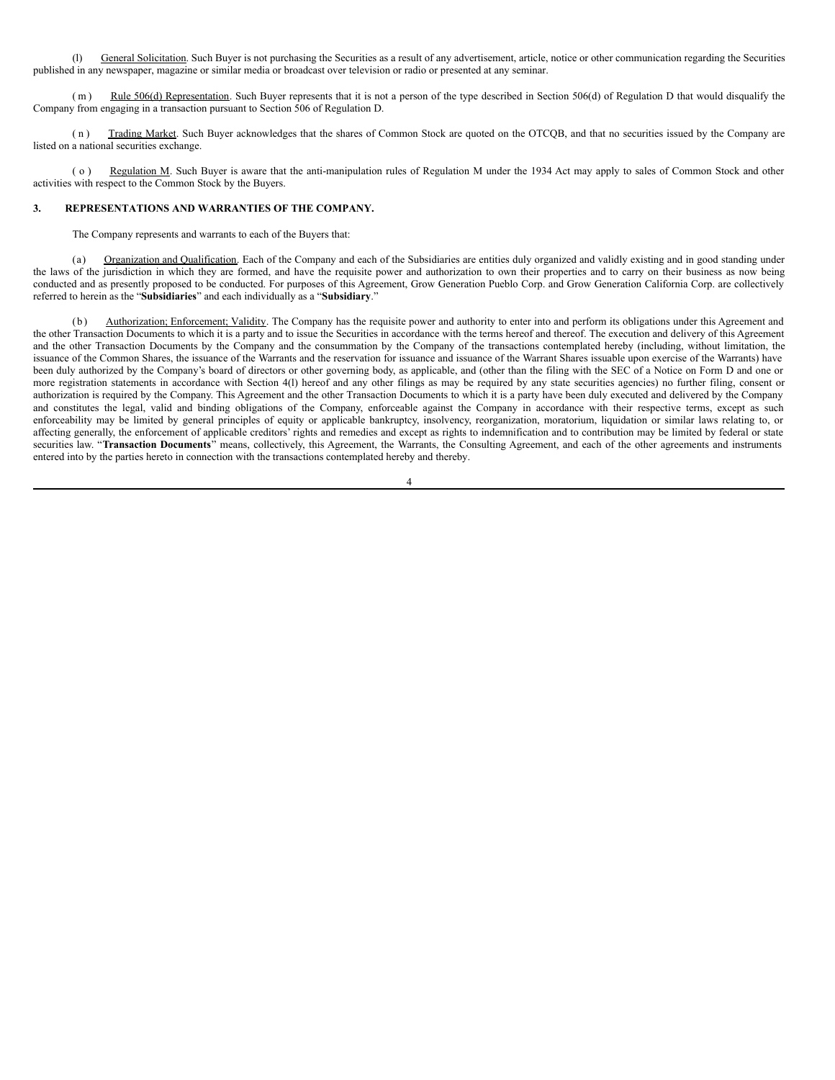(l) General Solicitation. Such Buyer is not purchasing the Securities as a result of any advertisement, article, notice or other communication regarding the Securities published in any newspaper, magazine or similar media or broadcast over television or radio or presented at any seminar.

(m) Rule 506(d) Representation. Such Buyer represents that it is not a person of the type described in Section 506(d) of Regulation D that would disqualify the Company from engaging in a transaction pursuant to Section 506 of Regulation D.

( n ) Trading Market. Such Buyer acknowledges that the shares of Common Stock are quoted on the OTCQB, and that no securities issued by the Company are listed on a national securities exchange.

( o ) Regulation M. Such Buyer is aware that the anti-manipulation rules of Regulation M under the 1934 Act may apply to sales of Common Stock and other activities with respect to the Common Stock by the Buyers.

## **3. REPRESENTATIONS AND WARRANTIES OF THE COMPANY.**

The Company represents and warrants to each of the Buyers that:

(a) Organization and Qualification. Each of the Company and each of the Subsidiaries are entities duly organized and validly existing and in good standing under the laws of the jurisdiction in which they are formed, and have the requisite power and authorization to own their properties and to carry on their business as now being conducted and as presently proposed to be conducted. For purposes of this Agreement, Grow Generation Pueblo Corp. and Grow Generation California Corp. are collectively referred to herein as the "**Subsidiaries**" and each individually as a "**Subsidiary**."

(b) Authorization; Enforcement; Validity. The Company has the requisite power and authority to enter into and perform its obligations under this Agreement and the other Transaction Documents to which it is a party and to issue the Securities in accordance with the terms hereof and thereof. The execution and delivery of this Agreement and the other Transaction Documents by the Company and the consummation by the Company of the transactions contemplated hereby (including, without limitation, the issuance of the Common Shares, the issuance of the Warrants and the reservation for issuance and issuance of the Warrant Shares issuable upon exercise of the Warrants) have been duly authorized by the Company's board of directors or other governing body, as applicable, and (other than the filing with the SEC of a Notice on Form D and one or more registration statements in accordance with Section 4(l) hereof and any other filings as may be required by any state securities agencies) no further filing, consent or authorization is required by the Company. This Agreement and the other Transaction Documents to which it is a party have been duly executed and delivered by the Company and constitutes the legal, valid and binding obligations of the Company, enforceable against the Company in accordance with their respective terms, except as such enforceability may be limited by general principles of equity or applicable bankruptcy, insolvency, reorganization, moratorium, liquidation or similar laws relating to, or affecting generally, the enforcement of applicable creditors' rights and remedies and except as rights to indemnification and to contribution may be limited by federal or state securities law. "Transaction Documents" means, collectively, this Agreement, the Warrants, the Consulting Agreement, and each of the other agreements and instruments entered into by the parties hereto in connection with the transactions contemplated hereby and thereby.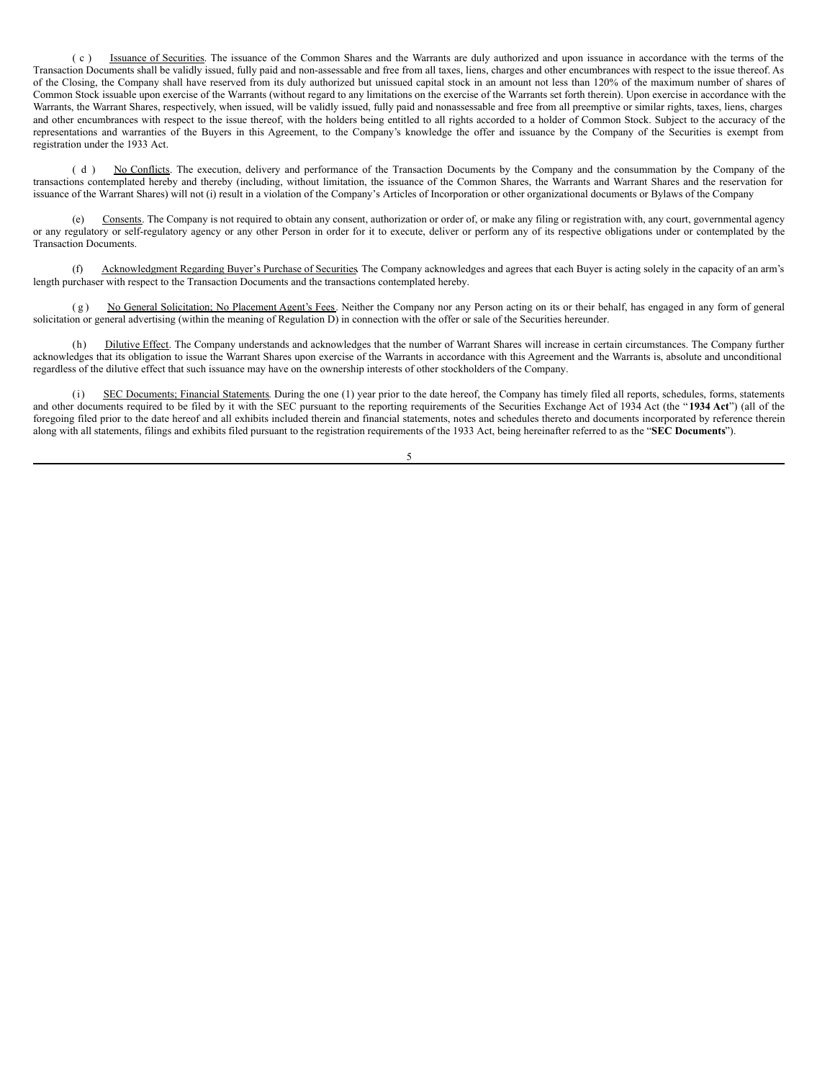( c ) Issuance of Securities. The issuance of the Common Shares and the Warrants are duly authorized and upon issuance in accordance with the terms of the Transaction Documents shall be validly issued, fully paid and non-assessable and free from all taxes, liens, charges and other encumbrances with respect to the issue thereof. As of the Closing, the Company shall have reserved from its duly authorized but unissued capital stock in an amount not less than 120% of the maximum number of shares of Common Stock issuable upon exercise of the Warrants (without regard to any limitations on the exercise of the Warrants set forth therein). Upon exercise in accordance with the Warrants, the Warrant Shares, respectively, when issued, will be validly issued, fully paid and nonassessable and free from all preemptive or similar rights, taxes, liens, charges and other encumbrances with respect to the issue thereof, with the holders being entitled to all rights accorded to a holder of Common Stock. Subject to the accuracy of the representations and warranties of the Buyers in this Agreement, to the Company's knowledge the offer and issuance by the Company of the Securities is exempt from registration under the 1933 Act.

(d) No Conflicts. The execution, delivery and performance of the Transaction Documents by the Company and the consummation by the Company of the transactions contemplated hereby and thereby (including, without limitation, the issuance of the Common Shares, the Warrants and Warrant Shares and the reservation for issuance of the Warrant Shares) will not (i) result in a violation of the Company's Articles of Incorporation or other organizational documents or Bylaws of the Company

Consents. The Company is not required to obtain any consent, authorization or order of, or make any filing or registration with, any court, governmental agency or any regulatory or self-regulatory agency or any other Person in order for it to execute, deliver or perform any of its respective obligations under or contemplated by the Transaction Documents.

Acknowledgment Regarding Buyer's Purchase of Securities. The Company acknowledges and agrees that each Buyer is acting solely in the capacity of an arm's length purchaser with respect to the Transaction Documents and the transactions contemplated hereby.

(g) No General Solicitation; No Placement Agent's Fees. Neither the Company nor any Person acting on its or their behalf, has engaged in any form of general solicitation or general advertising (within the meaning of Regulation D) in connection with the offer or sale of the Securities hereunder.

(h) Dilutive Effect. The Company understands and acknowledges that the number of Warrant Shares will increase in certain circumstances. The Company further acknowledges that its obligation to issue the Warrant Shares upon exercise of the Warrants in accordance with this Agreement and the Warrants is, absolute and unconditional regardless of the dilutive effect that such issuance may have on the ownership interests of other stockholders of the Company.

SEC Documents; Financial Statements. During the one (1) year prior to the date hereof, the Company has timely filed all reports, schedules, forms, statements and other documents required to be filed by it with the SEC pursuant to the reporting requirements of the Securities Exchange Act of 1934 Act (the " **1934 Act**") (all of the foregoing filed prior to the date hereof and all exhibits included therein and financial statements, notes and schedules thereto and documents incorporated by reference therein along with all statements, filings and exhibits filed pursuant to the registration requirements of the 1933 Act, being hereinafter referred to as the "**SEC Documents**").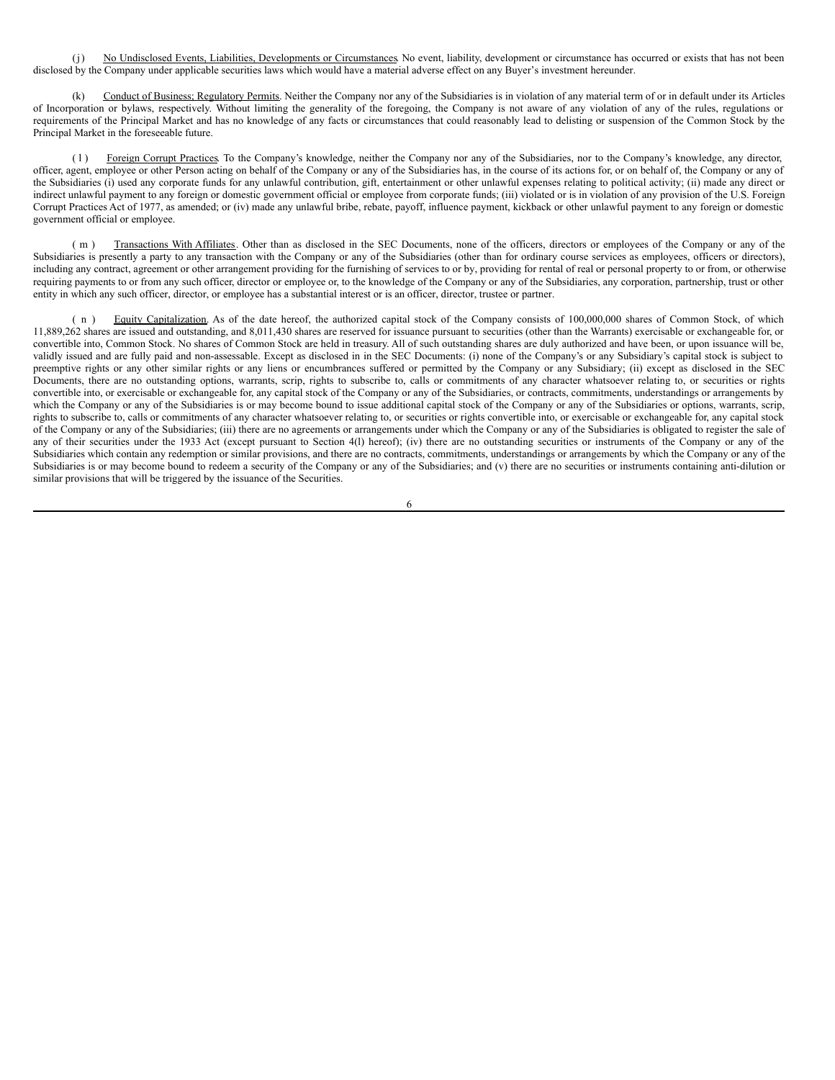(j) No Undisclosed Events, Liabilities, Developments or Circumstances. No event, liability, development or circumstance has occurred or exists that has not been disclosed by the Company under applicable securities laws which would have a material adverse effect on any Buyer's investment hereunder.

(k) Conduct of Business; Regulatory Permits. Neither the Company nor any of the Subsidiaries is in violation of any material term of or in default under its Articles of Incorporation or bylaws, respectively. Without limiting the generality of the foregoing, the Company is not aware of any violation of any of the rules, regulations or requirements of the Principal Market and has no knowledge of any facts or circumstances that could reasonably lead to delisting or suspension of the Common Stock by the Principal Market in the foreseeable future.

(1) Foreign Corrupt Practices. To the Company's knowledge, neither the Company nor any of the Subsidiaries, nor to the Company's knowledge, any director, officer, agent, employee or other Person acting on behalf of the Company or any of the Subsidiaries has, in the course of its actions for, or on behalf of, the Company or any of the Subsidiaries (i) used any corporate funds for any unlawful contribution, gift, entertainment or other unlawful expenses relating to political activity; (ii) made any direct or indirect unlawful payment to any foreign or domestic government official or employee from corporate funds; (iii) violated or is in violation of any provision of the U.S. Foreign Corrupt Practices Act of 1977, as amended; or (iv) made any unlawful bribe, rebate, payoff, influence payment, kickback or other unlawful payment to any foreign or domestic government official or employee.

( m ) Transactions With Affiliates. Other than as disclosed in the SEC Documents, none of the officers, directors or employees of the Company or any of the Subsidiaries is presently a party to any transaction with the Company or any of the Subsidiaries (other than for ordinary course services as employees, officers or directors), including any contract, agreement or other arrangement providing for the furnishing of services to or by, providing for rental of real or personal property to or from, or otherwise requiring payments to or from any such officer, director or employee or, to the knowledge of the Company or any of the Subsidiaries, any corporation, partnership, trust or other entity in which any such officer, director, or employee has a substantial interest or is an officer, director, trustee or partner.

( n ) Equity Capitalization. As of the date hereof, the authorized capital stock of the Company consists of 100,000,000 shares of Common Stock, of which 11,889,262 shares are issued and outstanding, and 8,011,430 shares are reserved for issuance pursuant to securities (other than the Warrants) exercisable or exchangeable for, or convertible into, Common Stock. No shares of Common Stock are held in treasury. All of such outstanding shares are duly authorized and have been, or upon issuance will be, validly issued and are fully paid and non-assessable. Except as disclosed in in the SEC Documents: (i) none of the Company's or any Subsidiary's capital stock is subject to preemptive rights or any other similar rights or any liens or encumbrances suffered or permitted by the Company or any Subsidiary; (ii) except as disclosed in the SEC Documents, there are no outstanding options, warrants, scrip, rights to subscribe to, calls or commitments of any character whatsoever relating to, or securities or rights convertible into, or exercisable or exchangeable for, any capital stock of the Company or any of the Subsidiaries, or contracts, commitments, understandings or arrangements by which the Company or any of the Subsidiaries is or may become bound to issue additional capital stock of the Company or any of the Subsidiaries or options, warrants, scrip, rights to subscribe to, calls or commitments of any character whatsoever relating to, or securities or rights convertible into, or exercisable or exchangeable for, any capital stock of the Company or any of the Subsidiaries; (iii) there are no agreements or arrangements under which the Company or any of the Subsidiaries is obligated to register the sale of any of their securities under the 1933 Act (except pursuant to Section 4(1) hereof); (iv) there are no outstanding securities or instruments of the Company or any of the Subsidiaries which contain any redemption or similar provisions, and there are no contracts, commitments, understandings or arrangements by which the Company or any of the Subsidiaries is or may become bound to redeem a security of the Company or any of the Subsidiaries; and (v) there are no securities or instruments containing anti-dilution or similar provisions that will be triggered by the issuance of the Securities.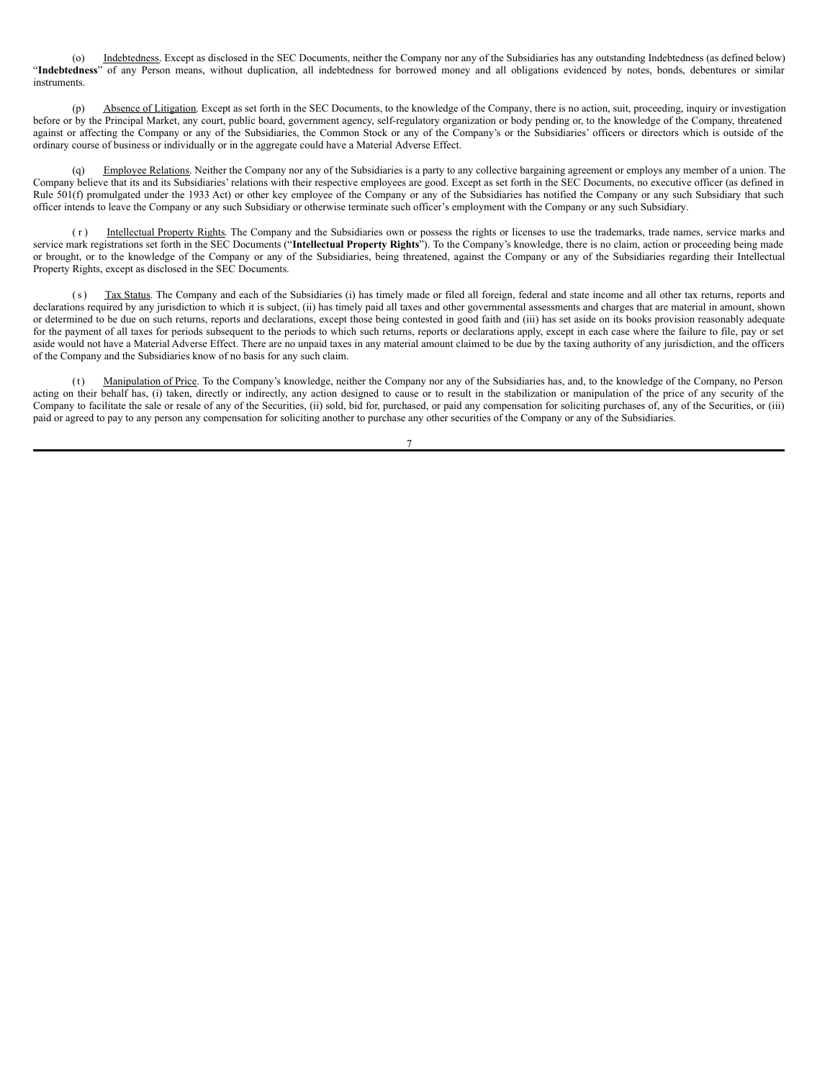(o) Indebtedness. Except as disclosed in the SEC Documents, neither the Company nor any of the Subsidiaries has any outstanding Indebtedness (as defined below) "**Indebtedness**" of any Person means, without duplication, all indebtedness for borrowed money and all obligations evidenced by notes, bonds, debentures or similar instruments.

(p) Absence of Litigation. Except as set forth in the SEC Documents, to the knowledge of the Company, there is no action, suit, proceeding, inquiry or investigation before or by the Principal Market, any court, public board, government agency, self-regulatory organization or body pending or, to the knowledge of the Company, threatened against or affecting the Company or any of the Subsidiaries, the Common Stock or any of the Company's or the Subsidiaries' officers or directors which is outside of the ordinary course of business or individually or in the aggregate could have a Material Adverse Effect.

Employee Relations. Neither the Company nor any of the Subsidiaries is a party to any collective bargaining agreement or employs any member of a union. The Company believe that its and its Subsidiaries' relations with their respective employees are good. Except as set forth in the SEC Documents, no executive officer (as defined in Rule 501(f) promulgated under the 1933 Act) or other key employee of the Company or any of the Subsidiaries has notified the Company or any such Subsidiary that such officer intends to leave the Company or any such Subsidiary or otherwise terminate such officer's employment with the Company or any such Subsidiary.

(r) Intellectual Property Rights. The Company and the Subsidiaries own or possess the rights or licenses to use the trademarks, trade names, service marks and service mark registrations set forth in the SEC Documents ("**Intellectual Property Rights**"). To the Company's knowledge, there is no claim, action or proceeding being made or brought, or to the knowledge of the Company or any of the Subsidiaries, being threatened, against the Company or any of the Subsidiaries regarding their Intellectual Property Rights, except as disclosed in the SEC Documents.

(s) Tax Status. The Company and each of the Subsidiaries (i) has timely made or filed all foreign, federal and state income and all other tax returns, reports and declarations required by any jurisdiction to which it is subject, (ii) has timely paid all taxes and other governmental assessments and charges that are material in amount, shown or determined to be due on such returns, reports and declarations, except those being contested in good faith and (iii) has set aside on its books provision reasonably adequate for the payment of all taxes for periods subsequent to the periods to which such returns, reports or declarations apply, except in each case where the failure to file, pay or set aside would not have a Material Adverse Effect. There are no unpaid taxes in any material amount claimed to be due by the taxing authority of any jurisdiction, and the officers of the Company and the Subsidiaries know of no basis for any such claim.

(t) Manipulation of Price. To the Company's knowledge, neither the Company nor any of the Subsidiaries has, and, to the knowledge of the Company, no Person acting on their behalf has, (i) taken, directly or indirectly, any action designed to cause or to result in the stabilization or manipulation of the price of any security of the Company to facilitate the sale or resale of any of the Securities, (ii) sold, bid for, purchased, or paid any compensation for soliciting purchases of, any of the Securities, or (iii) paid or agreed to pay to any person any compensation for soliciting another to purchase any other securities of the Company or any of the Subsidiaries.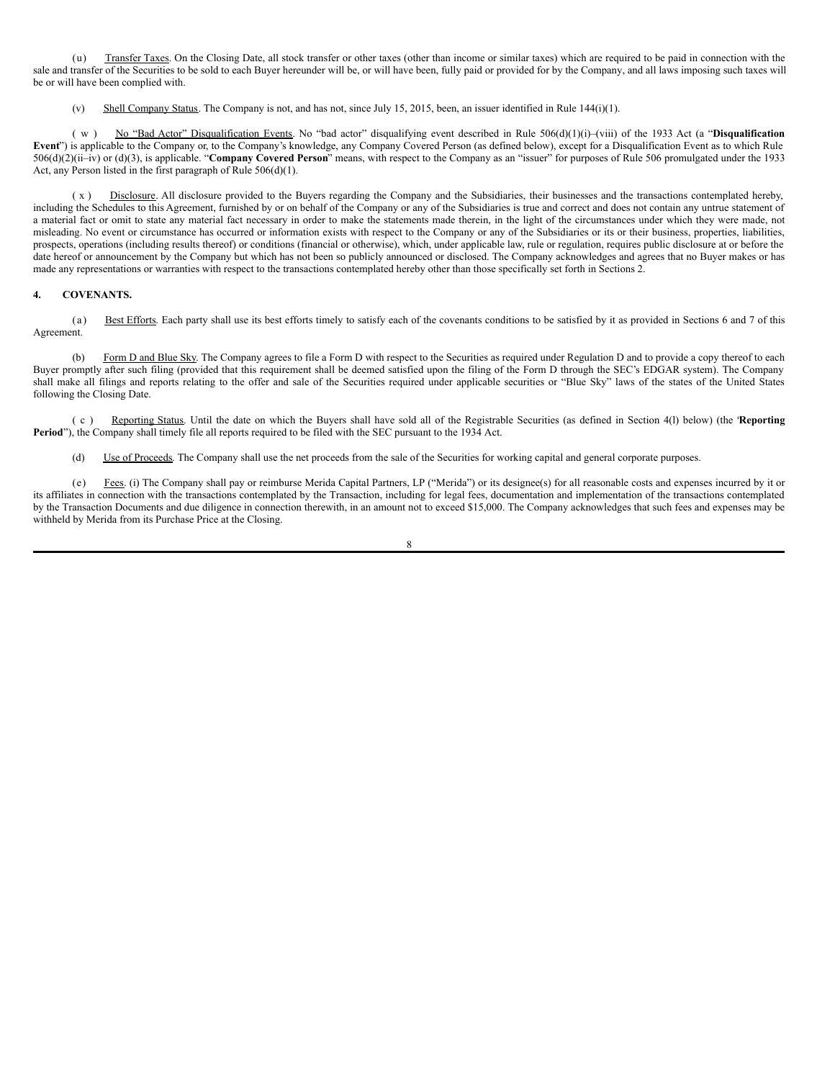(u) Transfer Taxes. On the Closing Date, all stock transfer or other taxes (other than income or similar taxes) which are required to be paid in connection with the sale and transfer of the Securities to be sold to each Buyer hereunder will be, or will have been, fully paid or provided for by the Company, and all laws imposing such taxes will be or will have been complied with.

(v) Shell Company Status. The Company is not, and has not, since July 15, 2015, been, an issuer identified in Rule 144(i)(1).

( w ) No "Bad Actor" Disqualification Events. No "bad actor" disqualifying event described in Rule 506(d)(1)(i)–(viii) of the 1933 Act (a "**Disqualification Event**") is applicable to the Company or, to the Company's knowledge, any Company Covered Person (as defined below), except for a Disqualification Event as to which Rule 506(d)(2)(ii–iv) or (d)(3), is applicable. "**Company Covered Person**" means, with respect to the Company as an "issuer" for purposes of Rule 506 promulgated under the 1933 Act, any Person listed in the first paragraph of Rule 506(d)(1).

( x ) Disclosure. All disclosure provided to the Buyers regarding the Company and the Subsidiaries, their businesses and the transactions contemplated hereby, including the Schedules to this Agreement, furnished by or on behalf of the Company or any of the Subsidiaries is true and correct and does not contain any untrue statement of a material fact or omit to state any material fact necessary in order to make the statements made therein, in the light of the circumstances under which they were made, not misleading. No event or circumstance has occurred or information exists with respect to the Company or any of the Subsidiaries or its or their business, properties, liabilities, prospects, operations (including results thereof) or conditions (financial or otherwise), which, under applicable law, rule or regulation, requires public disclosure at or before the date hereof or announcement by the Company but which has not been so publicly announced or disclosed. The Company acknowledges and agrees that no Buyer makes or has made any representations or warranties with respect to the transactions contemplated hereby other than those specifically set forth in Sections 2.

## **4. COVENANTS.**

(a) Best Efforts. Each party shall use its best efforts timely to satisfy each of the covenants conditions to be satisfied by it as provided in Sections 6 and 7 of this Agreement.

(b) Form D and Blue Sky. The Company agrees to file a Form D with respect to the Securities as required under Regulation D and to provide a copy thereof to each Buyer promptly after such filing (provided that this requirement shall be deemed satisfied upon the filing of the Form D through the SEC's EDGAR system). The Company shall make all filings and reports relating to the offer and sale of the Securities required under applicable securities or "Blue Sky" laws of the states of the United States following the Closing Date.

( c ) Reporting Status. Until the date on which the Buyers shall have sold all of the Registrable Securities (as defined in Section 4(l) below) (the "**Reporting Period**"), the Company shall timely file all reports required to be filed with the SEC pursuant to the 1934 Act.

(d) Use of Proceeds. The Company shall use the net proceeds from the sale of the Securities for working capital and general corporate purposes.

(e) Fees. (i) The Company shall pay or reimburse Merida Capital Partners, LP ("Merida") or its designee(s) for all reasonable costs and expenses incurred by it or its affiliates in connection with the transactions contemplated by the Transaction, including for legal fees, documentation and implementation of the transactions contemplated by the Transaction Documents and due diligence in connection therewith, in an amount not to exceed \$15,000. The Company acknowledges that such fees and expenses may be withheld by Merida from its Purchase Price at the Closing.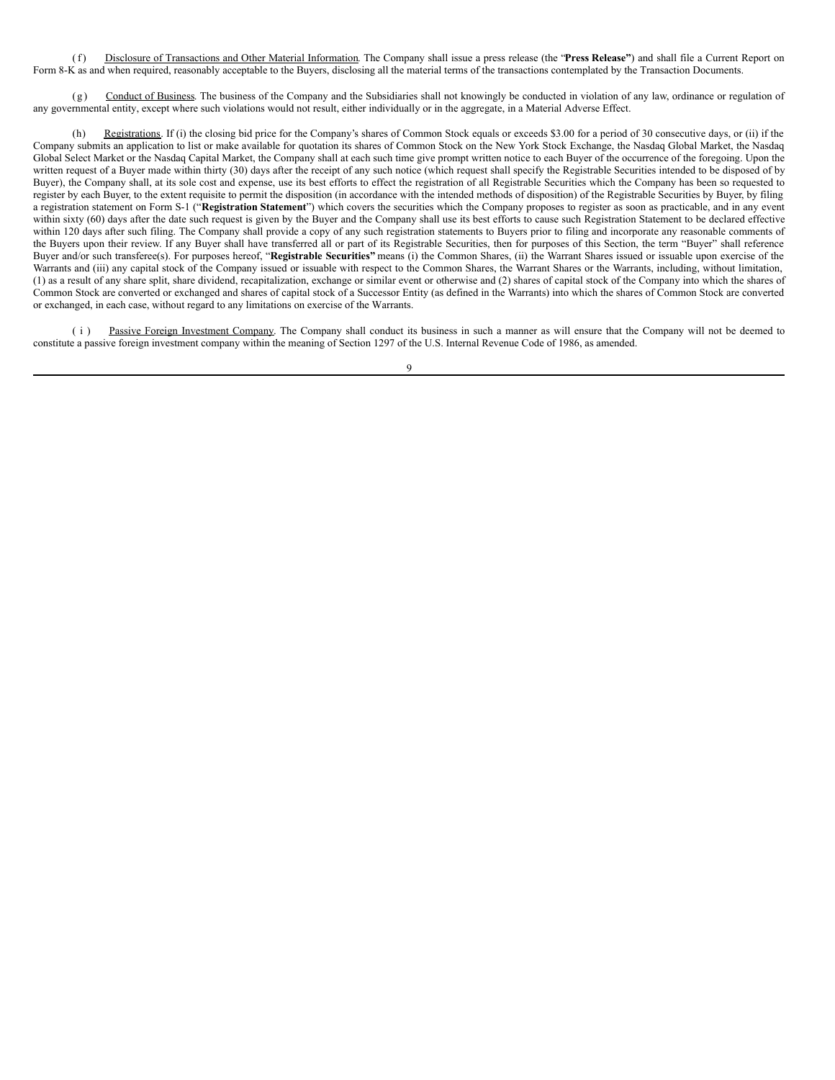(f) Disclosure of Transactions and Other Material Information. The Company shall issue a press release (the "**Press Release"**) and shall file a Current Report on Form 8-K as and when required, reasonably acceptable to the Buyers, disclosing all the material terms of the transactions contemplated by the Transaction Documents.

(g) Conduct of Business. The business of the Company and the Subsidiaries shall not knowingly be conducted in violation of any law, ordinance or regulation of any governmental entity, except where such violations would not result, either individually or in the aggregate, in a Material Adverse Effect.

Registrations. If (i) the closing bid price for the Company's shares of Common Stock equals or exceeds \$3.00 for a period of 30 consecutive days, or (ii) if the Company submits an application to list or make available for quotation its shares of Common Stock on the New York Stock Exchange, the Nasdaq Global Market, the Nasdaq Global Select Market or the Nasdaq Capital Market, the Company shall at each such time give prompt written notice to each Buyer of the occurrence of the foregoing. Upon the written request of a Buyer made within thirty (30) days after the receipt of any such notice (which request shall specify the Registrable Securities intended to be disposed of by Buyer), the Company shall, at its sole cost and expense, use its best efforts to effect the registration of all Registrable Securities which the Company has been so requested to register by each Buyer, to the extent requisite to permit the disposition (in accordance with the intended methods of disposition) of the Registrable Securities by Buyer, by filing a registration statement on Form S-1 ("**Registration Statement**") which covers the securities which the Company proposes to register as soon as practicable, and in any event within sixty (60) days after the date such request is given by the Buyer and the Company shall use its best efforts to cause such Registration Statement to be declared effective within 120 days after such filing. The Company shall provide a copy of any such registration statements to Buyers prior to filing and incorporate any reasonable comments of the Buyers upon their review. If any Buyer shall have transferred all or part of its Registrable Securities, then for purposes of this Section, the term "Buyer" shall reference Buyer and/or such transferee(s). For purposes hereof, "Registrable Securities" means (i) the Common Shares, (ii) the Warrant Shares issued or issuable upon exercise of the Warrants and (iii) any capital stock of the Company issued or issuable with respect to the Common Shares, the Warrant Shares or the Warrants, including, without limitation, (1) as a result of any share split, share dividend, recapitalization, exchange or similar event or otherwise and (2) shares of capital stock of the Company into which the shares of Common Stock are converted or exchanged and shares of capital stock of a Successor Entity (as defined in the Warrants) into which the shares of Common Stock are converted or exchanged, in each case, without regard to any limitations on exercise of the Warrants.

(i) Passive Foreign Investment Company. The Company shall conduct its business in such a manner as will ensure that the Company will not be deemed to constitute a passive foreign investment company within the meaning of Section 1297 of the U.S. Internal Revenue Code of 1986, as amended.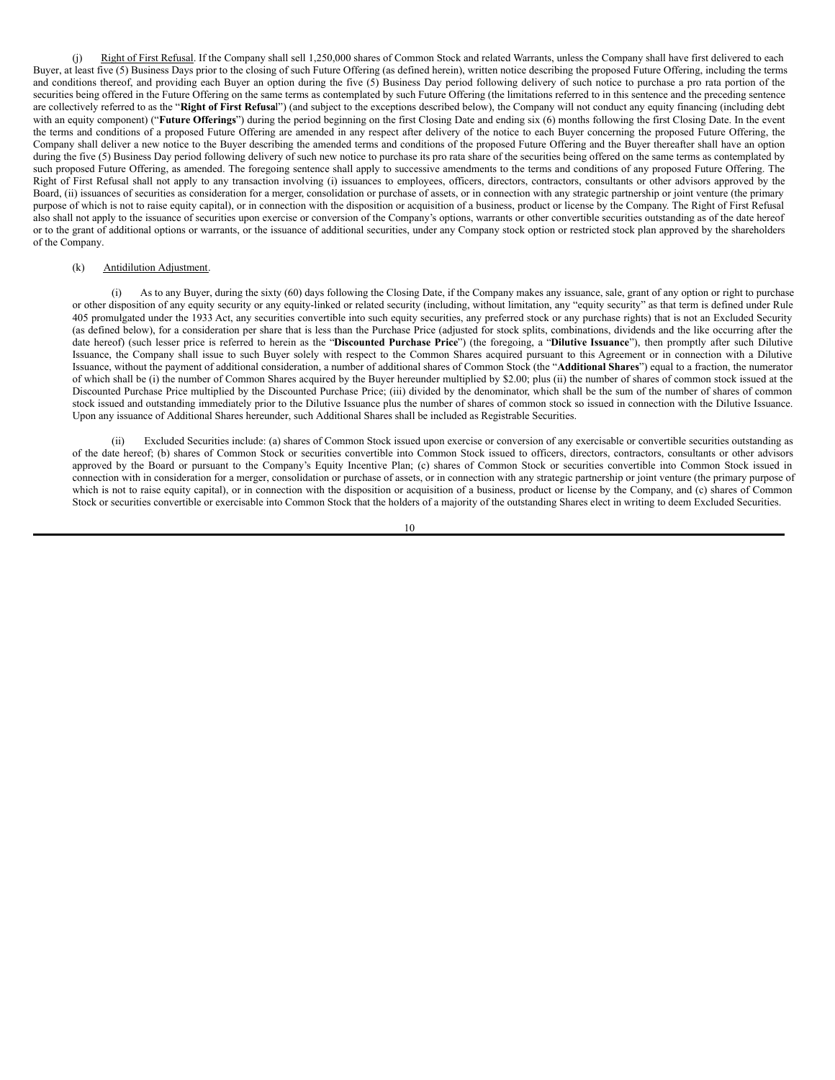(j) Right of First Refusal. If the Company shall sell 1,250,000 shares of Common Stock and related Warrants, unless the Company shall have first delivered to each Buyer, at least five (5) Business Days prior to the closing of such Future Offering (as defined herein), written notice describing the proposed Future Offering, including the terms and conditions thereof, and providing each Buyer an option during the five (5) Business Day period following delivery of such notice to purchase a pro rata portion of the securities being offered in the Future Offering on the same terms as contemplated by such Future Offering (the limitations referred to in this sentence and the preceding sentence are collectively referred to as the "**Right of First Refusa**l") (and subject to the exceptions described below), the Company will not conduct any equity financing (including debt with an equity component) ("**Future Offerings**") during the period beginning on the first Closing Date and ending six (6) months following the first Closing Date. In the event the terms and conditions of a proposed Future Offering are amended in any respect after delivery of the notice to each Buyer concerning the proposed Future Offering, the Company shall deliver a new notice to the Buyer describing the amended terms and conditions of the proposed Future Offering and the Buyer thereafter shall have an option during the five (5) Business Day period following delivery of such new notice to purchase its pro rata share of the securities being offered on the same terms as contemplated by such proposed Future Offering, as amended. The foregoing sentence shall apply to successive amendments to the terms and conditions of any proposed Future Offering. The Right of First Refusal shall not apply to any transaction involving (i) issuances to employees, officers, directors, contractors, consultants or other advisors approved by the Board, (ii) issuances of securities as consideration for a merger, consolidation or purchase of assets, or in connection with any strategic partnership or joint venture (the primary purpose of which is not to raise equity capital), or in connection with the disposition or acquisition of a business, product or license by the Company. The Right of First Refusal also shall not apply to the issuance of securities upon exercise or conversion of the Company's options, warrants or other convertible securities outstanding as of the date hereof or to the grant of additional options or warrants, or the issuance of additional securities, under any Company stock option or restricted stock plan approved by the shareholders of the Company.

## (k) Antidilution Adjustment.

As to any Buyer, during the sixty (60) days following the Closing Date, if the Company makes any issuance, sale, grant of any option or right to purchase or other disposition of any equity security or any equity-linked or related security (including, without limitation, any "equity security" as that term is defined under Rule 405 promulgated under the 1933 Act, any securities convertible into such equity securities, any preferred stock or any purchase rights) that is not an Excluded Security (as defined below), for a consideration per share that is less than the Purchase Price (adjusted for stock splits, combinations, dividends and the like occurring after the date hereof) (such lesser price is referred to herein as the "**Discounted Purchase Price**") (the foregoing, a "**Dilutive Issuance**"), then promptly after such Dilutive Issuance, the Company shall issue to such Buyer solely with respect to the Common Shares acquired pursuant to this Agreement or in connection with a Dilutive Issuance, without the payment of additional consideration, a number of additional shares of Common Stock (the "**Additional Shares**") equal to a fraction, the numerator of which shall be (i) the number of Common Shares acquired by the Buyer hereunder multiplied by \$2.00; plus (ii) the number of shares of common stock issued at the Discounted Purchase Price multiplied by the Discounted Purchase Price; (iii) divided by the denominator, which shall be the sum of the number of shares of common stock issued and outstanding immediately prior to the Dilutive Issuance plus the number of shares of common stock so issued in connection with the Dilutive Issuance. Upon any issuance of Additional Shares hereunder, such Additional Shares shall be included as Registrable Securities.

(ii) Excluded Securities include: (a) shares of Common Stock issued upon exercise or conversion of any exercisable or convertible securities outstanding as of the date hereof; (b) shares of Common Stock or securities convertible into Common Stock issued to officers, directors, contractors, consultants or other advisors approved by the Board or pursuant to the Company's Equity Incentive Plan; (c) shares of Common Stock or securities convertible into Common Stock issued in connection with in consideration for a merger, consolidation or purchase of assets, or in connection with any strategic partnership or joint venture (the primary purpose of which is not to raise equity capital), or in connection with the disposition or acquisition of a business, product or license by the Company, and (c) shares of Common Stock or securities convertible or exercisable into Common Stock that the holders of a majority of the outstanding Shares elect in writing to deem Excluded Securities.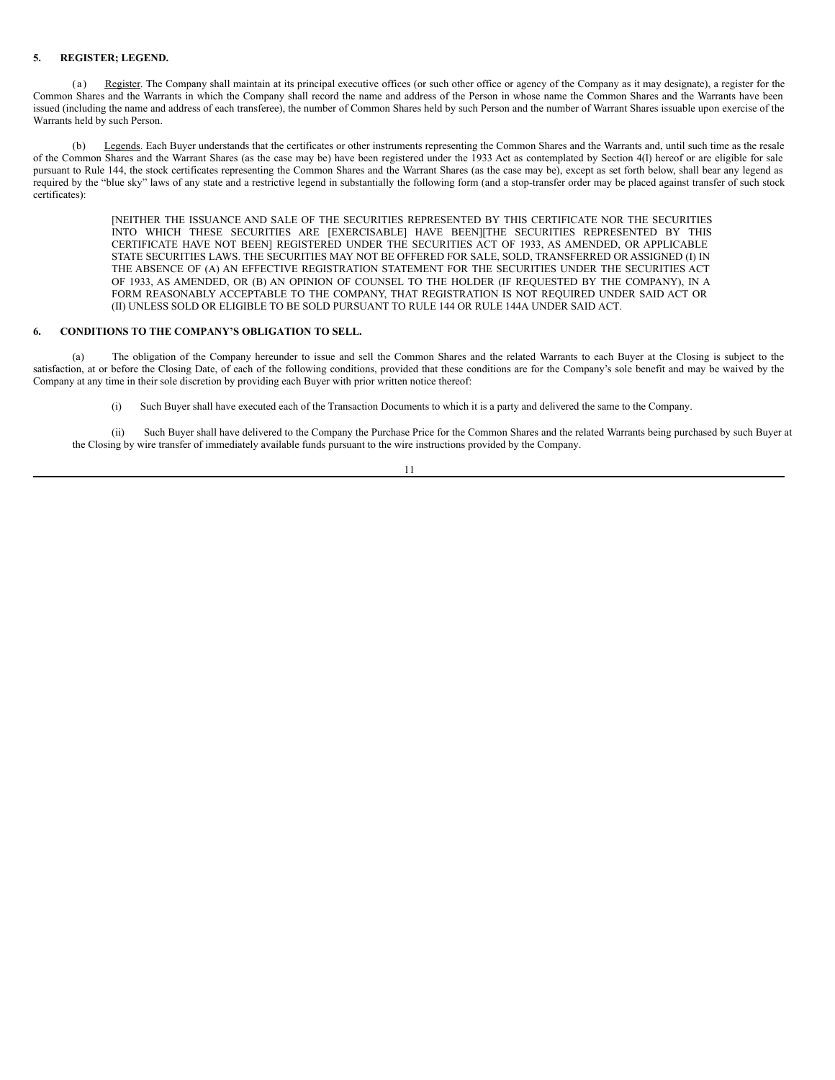## **5. REGISTER; LEGEND.**

(a) Register. The Company shall maintain at its principal executive offices (or such other office or agency of the Company as it may designate), a register for the Common Shares and the Warrants in which the Company shall record the name and address of the Person in whose name the Common Shares and the Warrants have been issued (including the name and address of each transferee), the number of Common Shares held by such Person and the number of Warrant Shares issuable upon exercise of the Warrants held by such Person.

(b) Legends. Each Buyer understands that the certificates or other instruments representing the Common Shares and the Warrants and, until such time as the resale of the Common Shares and the Warrant Shares (as the case may be) have been registered under the 1933 Act as contemplated by Section 4(l) hereof or are eligible for sale pursuant to Rule 144, the stock certificates representing the Common Shares and the Warrant Shares (as the case may be), except as set forth below, shall bear any legend as required by the "blue sky" laws of any state and a restrictive legend in substantially the following form (and a stop-transfer order may be placed against transfer of such stock certificates):

> [NEITHER THE ISSUANCE AND SALE OF THE SECURITIES REPRESENTED BY THIS CERTIFICATE NOR THE SECURITIES INTO WHICH THESE SECURITIES ARE [EXERCISABLE] HAVE BEEN][THE SECURITIES REPRESENTED BY THIS CERTIFICATE HAVE NOT BEEN] REGISTERED UNDER THE SECURITIES ACT OF 1933, AS AMENDED, OR APPLICABLE STATE SECURITIES LAWS. THE SECURITIES MAY NOT BE OFFERED FOR SALE, SOLD, TRANSFERRED OR ASSIGNED (I) IN THE ABSENCE OF (A) AN EFFECTIVE REGISTRATION STATEMENT FOR THE SECURITIES UNDER THE SECURITIES ACT OF 1933, AS AMENDED, OR (B) AN OPINION OF COUNSEL TO THE HOLDER (IF REQUESTED BY THE COMPANY), IN A FORM REASONABLY ACCEPTABLE TO THE COMPANY, THAT REGISTRATION IS NOT REQUIRED UNDER SAID ACT OR (II) UNLESS SOLD OR ELIGIBLE TO BE SOLD PURSUANT TO RULE 144 OR RULE 144A UNDER SAID ACT.

### **6. CONDITIONS TO THE COMPANY'S OBLIGATION TO SELL.**

(a) The obligation of the Company hereunder to issue and sell the Common Shares and the related Warrants to each Buyer at the Closing is subject to the satisfaction, at or before the Closing Date, of each of the following conditions, provided that these conditions are for the Company's sole benefit and may be waived by the Company at any time in their sole discretion by providing each Buyer with prior written notice thereof:

(i) Such Buyer shall have executed each of the Transaction Documents to which it is a party and delivered the same to the Company.

(ii) Such Buyer shall have delivered to the Company the Purchase Price for the Common Shares and the related Warrants being purchased by such Buyer at the Closing by wire transfer of immediately available funds pursuant to the wire instructions provided by the Company.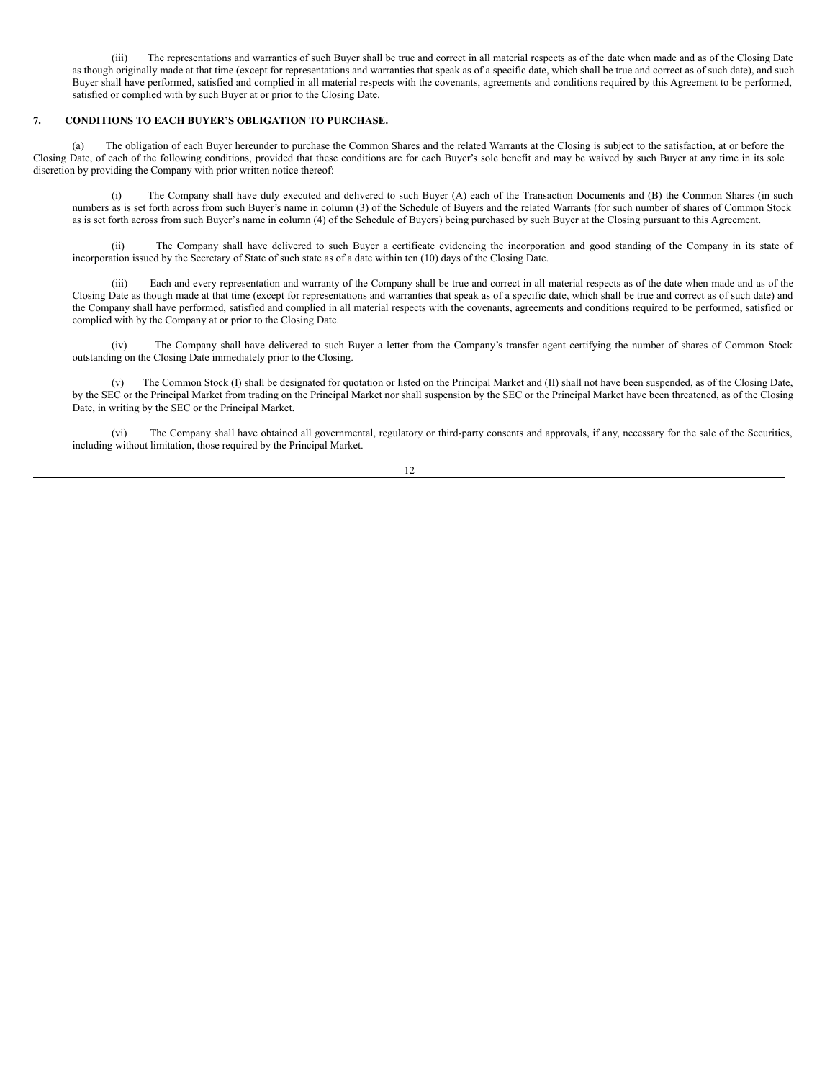(iii) The representations and warranties of such Buyer shall be true and correct in all material respects as of the date when made and as of the Closing Date as though originally made at that time (except for representations and warranties that speak as of a specific date, which shall be true and correct as of such date), and such Buyer shall have performed, satisfied and complied in all material respects with the covenants, agreements and conditions required by this Agreement to be performed, satisfied or complied with by such Buyer at or prior to the Closing Date.

## **7. CONDITIONS TO EACH BUYER'S OBLIGATION TO PURCHASE.**

(a) The obligation of each Buyer hereunder to purchase the Common Shares and the related Warrants at the Closing is subject to the satisfaction, at or before the Closing Date, of each of the following conditions, provided that these conditions are for each Buyer's sole benefit and may be waived by such Buyer at any time in its sole discretion by providing the Company with prior written notice thereof:

(i) The Company shall have duly executed and delivered to such Buyer (A) each of the Transaction Documents and (B) the Common Shares (in such numbers as is set forth across from such Buyer's name in column (3) of the Schedule of Buyers and the related Warrants (for such number of shares of Common Stock as is set forth across from such Buyer's name in column (4) of the Schedule of Buyers) being purchased by such Buyer at the Closing pursuant to this Agreement.

(ii) The Company shall have delivered to such Buyer a certificate evidencing the incorporation and good standing of the Company in its state of incorporation issued by the Secretary of State of such state as of a date within ten (10) days of the Closing Date.

(iii) Each and every representation and warranty of the Company shall be true and correct in all material respects as of the date when made and as of the Closing Date as though made at that time (except for representations and warranties that speak as of a specific date, which shall be true and correct as of such date) and the Company shall have performed, satisfied and complied in all material respects with the covenants, agreements and conditions required to be performed, satisfied or complied with by the Company at or prior to the Closing Date.

(iv) The Company shall have delivered to such Buyer a letter from the Company's transfer agent certifying the number of shares of Common Stock outstanding on the Closing Date immediately prior to the Closing.

(v) The Common Stock (I) shall be designated for quotation or listed on the Principal Market and (II) shall not have been suspended, as of the Closing Date, by the SEC or the Principal Market from trading on the Principal Market nor shall suspension by the SEC or the Principal Market have been threatened, as of the Closing Date, in writing by the SEC or the Principal Market.

(vi) The Company shall have obtained all governmental, regulatory or third-party consents and approvals, if any, necessary for the sale of the Securities, including without limitation, those required by the Principal Market.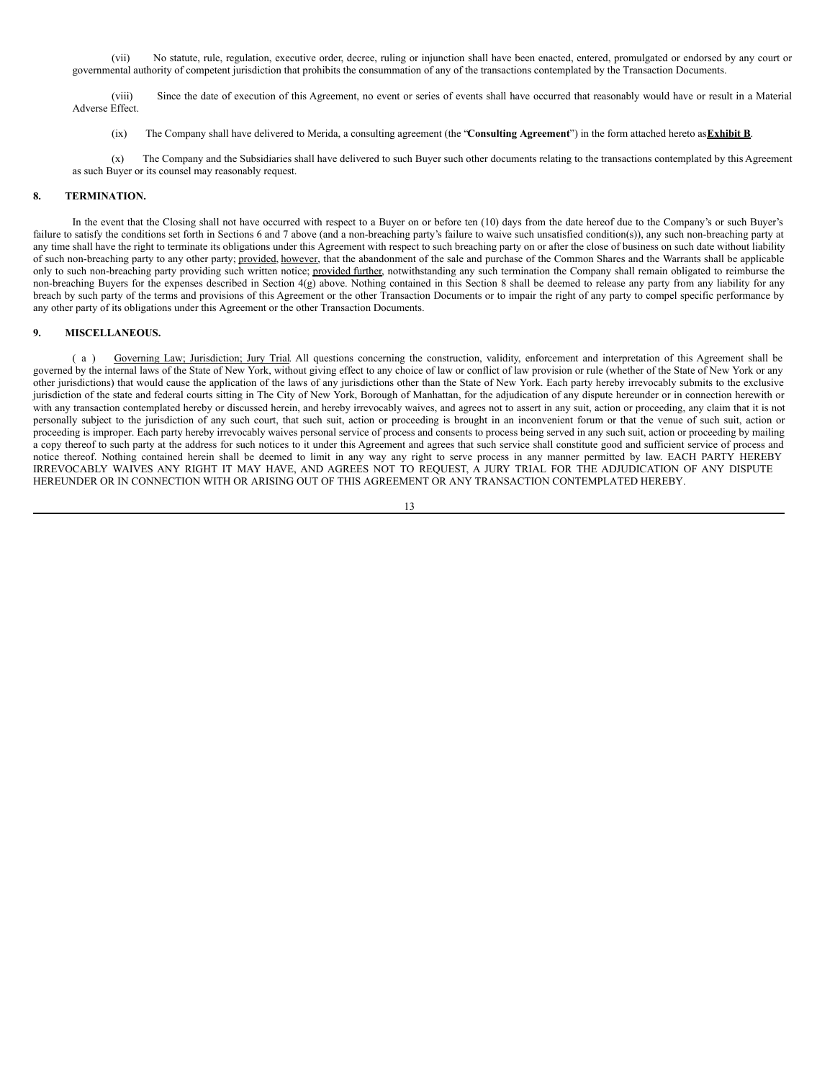(vii) No statute, rule, regulation, executive order, decree, ruling or injunction shall have been enacted, entered, promulgated or endorsed by any court or governmental authority of competent jurisdiction that prohibits the consummation of any of the transactions contemplated by the Transaction Documents.

(viii) Since the date of execution of this Agreement, no event or series of events shall have occurred that reasonably would have or result in a Material Adverse Effect.

(ix) The Company shall have delivered to Merida, a consulting agreement (the "**Consulting Agreement**") in the form attached hereto as**Exhibit B**.

(x) The Company and the Subsidiaries shall have delivered to such Buyer such other documents relating to the transactions contemplated by this Agreement as such Buyer or its counsel may reasonably request.

### **8. TERMINATION.**

In the event that the Closing shall not have occurred with respect to a Buyer on or before ten (10) days from the date hereof due to the Company's or such Buyer's failure to satisfy the conditions set forth in Sections 6 and 7 above (and a non-breaching party's failure to waive such unsatisfied condition(s)), any such non-breaching party at any time shall have the right to terminate its obligations under this Agreement with respect to such breaching party on or after the close of business on such date without liability of such non-breaching party to any other party; provided, however, that the abandonment of the sale and purchase of the Common Shares and the Warrants shall be applicable only to such non-breaching party providing such written notice; provided further, notwithstanding any such termination the Company shall remain obligated to reimburse the non-breaching Buyers for the expenses described in Section 4(g) above. Nothing contained in this Section 8 shall be deemed to release any party from any liability for any breach by such party of the terms and provisions of this Agreement or the other Transaction Documents or to impair the right of any party to compel specific performance by any other party of its obligations under this Agreement or the other Transaction Documents.

## **9. MISCELLANEOUS.**

( a ) Governing Law; Jurisdiction; Jury Trial. All questions concerning the construction, validity, enforcement and interpretation of this Agreement shall be governed by the internal laws of the State of New York, without giving effect to any choice of law or conflict of law provision or rule (whether of the State of New York or any other jurisdictions) that would cause the application of the laws of any jurisdictions other than the State of New York. Each party hereby irrevocably submits to the exclusive jurisdiction of the state and federal courts sitting in The City of New York, Borough of Manhattan, for the adjudication of any dispute hereunder or in connection herewith or with any transaction contemplated hereby or discussed herein, and hereby irrevocably waives, and agrees not to assert in any suit, action or proceeding, any claim that it is not personally subject to the jurisdiction of any such court, that such suit, action or proceeding is brought in an inconvenient forum or that the venue of such suit, action or proceeding is improper. Each party hereby irrevocably waives personal service of process and consents to process being served in any such suit, action or proceeding by mailing a copy thereof to such party at the address for such notices to it under this Agreement and agrees that such service shall constitute good and sufficient service of process and notice thereof. Nothing contained herein shall be deemed to limit in any way any right to serve process in any manner permitted by law. EACH PARTY HEREBY IRREVOCABLY WAIVES ANY RIGHT IT MAY HAVE, AND AGREES NOT TO REQUEST, A JURY TRIAL FOR THE ADJUDICATION OF ANY DISPUTE HEREUNDER OR IN CONNECTION WITH OR ARISING OUT OF THIS AGREEMENT OR ANY TRANSACTION CONTEMPLATED HEREBY.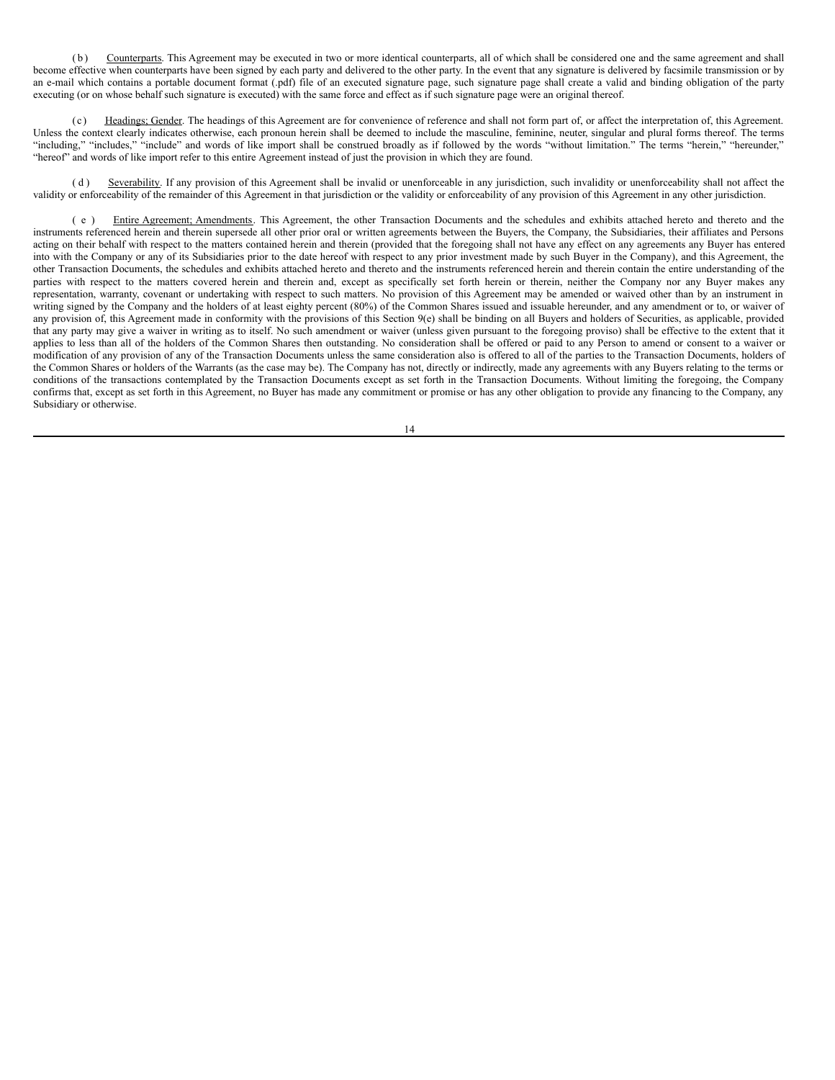( b ) Counterparts. This Agreement may be executed in two or more identical counterparts, all of which shall be considered one and the same agreement and shall become effective when counterparts have been signed by each party and delivered to the other party. In the event that any signature is delivered by facsimile transmission or by an e-mail which contains a portable document format (.pdf) file of an executed signature page, such signature page shall create a valid and binding obligation of the party executing (or on whose behalf such signature is executed) with the same force and effect as if such signature page were an original thereof.

( c ) Headings; Gender. The headings of this Agreement are for convenience of reference and shall not form part of, or affect the interpretation of, this Agreement. Unless the context clearly indicates otherwise, each pronoun herein shall be deemed to include the masculine, feminine, neuter, singular and plural forms thereof. The terms "including," "includes," "include" and words of like import shall be construed broadly as if followed by the words "without limitation." The terms "herein," "hereunder," "hereof" and words of like import refer to this entire Agreement instead of just the provision in which they are found.

(d) Severability. If any provision of this Agreement shall be invalid or unenforceable in any jurisdiction, such invalidity or unenforceability shall not affect the validity or enforceability of the remainder of this Agreement in that jurisdiction or the validity or enforceability of any provision of this Agreement in any other jurisdiction.

( e ) Entire Agreement; Amendments. This Agreement, the other Transaction Documents and the schedules and exhibits attached hereto and thereto and the instruments referenced herein and therein supersede all other prior oral or written agreements between the Buyers, the Company, the Subsidiaries, their affiliates and Persons acting on their behalf with respect to the matters contained herein and therein (provided that the foregoing shall not have any effect on any agreements any Buyer has entered into with the Company or any of its Subsidiaries prior to the date hereof with respect to any prior investment made by such Buyer in the Company), and this Agreement, the other Transaction Documents, the schedules and exhibits attached hereto and thereto and the instruments referenced herein and therein contain the entire understanding of the parties with respect to the matters covered herein and therein and, except as specifically set forth herein or therein, neither the Company nor any Buyer makes any representation, warranty, covenant or undertaking with respect to such matters. No provision of this Agreement may be amended or waived other than by an instrument in writing signed by the Company and the holders of at least eighty percent (80%) of the Common Shares issued and issuable hereunder, and any amendment or to, or waiver of any provision of, this Agreement made in conformity with the provisions of this Section 9(e) shall be binding on all Buyers and holders of Securities, as applicable, provided that any party may give a waiver in writing as to itself. No such amendment or waiver (unless given pursuant to the foregoing proviso) shall be effective to the extent that it applies to less than all of the holders of the Common Shares then outstanding. No consideration shall be offered or paid to any Person to amend or consent to a waiver or modification of any provision of any of the Transaction Documents unless the same consideration also is offered to all of the parties to the Transaction Documents, holders of the Common Shares or holders of the Warrants (as the case may be). The Company has not, directly or indirectly, made any agreements with any Buyers relating to the terms or conditions of the transactions contemplated by the Transaction Documents except as set forth in the Transaction Documents. Without limiting the foregoing, the Company confirms that, except as set forth in this Agreement, no Buyer has made any commitment or promise or has any other obligation to provide any financing to the Company, any Subsidiary or otherwise.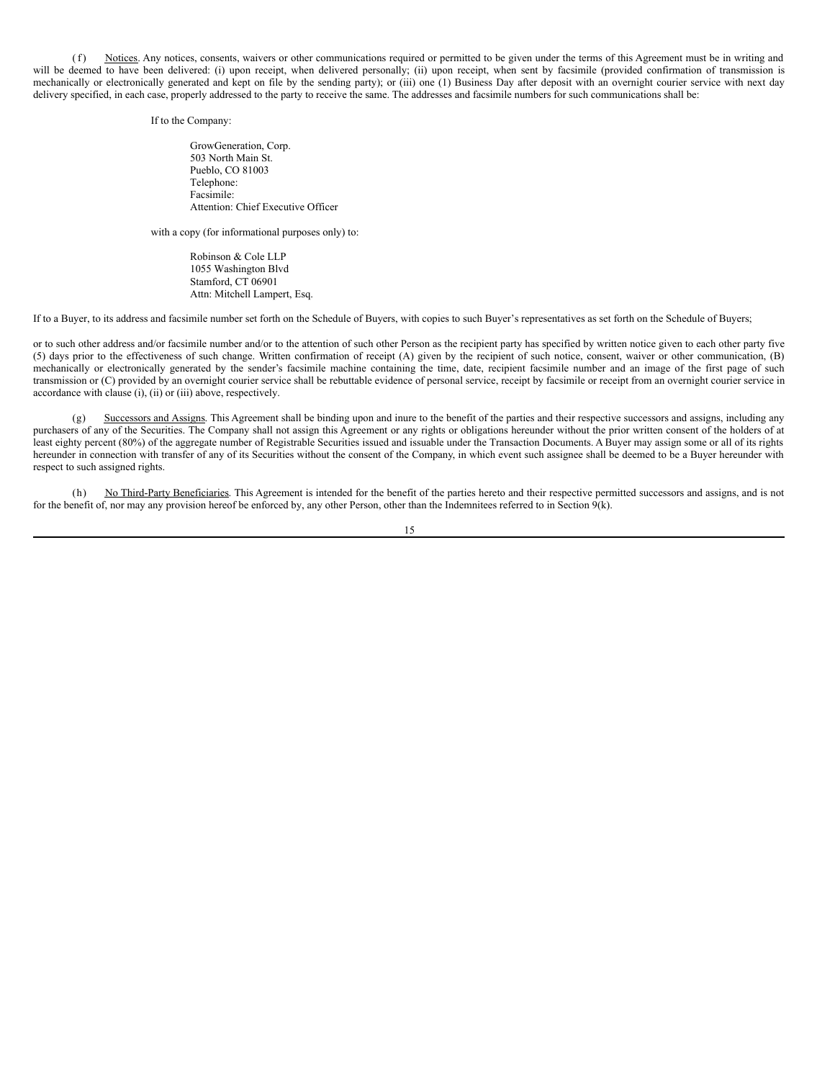(f) Notices. Any notices, consents, waivers or other communications required or permitted to be given under the terms of this Agreement must be in writing and will be deemed to have been delivered: (i) upon receipt, when delivered personally; (ii) upon receipt, when sent by facsimile (provided confirmation of transmission is mechanically or electronically generated and kept on file by the sending party); or (iii) one (1) Business Day after deposit with an overnight courier service with next day delivery specified, in each case, properly addressed to the party to receive the same. The addresses and facsimile numbers for such communications shall be:

If to the Company:

GrowGeneration, Corp. 503 North Main St. Pueblo, CO 81003 Telephone: Facsimile: Attention: Chief Executive Officer

with a copy (for informational purposes only) to:

Robinson & Cole LLP 1055 Washington Blvd Stamford, CT<sub>06901</sub> Attn: Mitchell Lampert, Esq.

If to a Buyer, to its address and facsimile number set forth on the Schedule of Buyers, with copies to such Buyer's representatives as set forth on the Schedule of Buyers;

or to such other address and/or facsimile number and/or to the attention of such other Person as the recipient party has specified by written notice given to each other party five (5) days prior to the effectiveness of such change. Written confirmation of receipt (A) given by the recipient of such notice, consent, waiver or other communication, (B) mechanically or electronically generated by the sender's facsimile machine containing the time, date, recipient facsimile number and an image of the first page of such transmission or (C) provided by an overnight courier service shall be rebuttable evidence of personal service, receipt by facsimile or receipt from an overnight courier service in accordance with clause (i), (ii) or (iii) above, respectively.

(g) Successors and Assigns. This Agreement shall be binding upon and inure to the benefit of the parties and their respective successors and assigns, including any purchasers of any of the Securities. The Company shall not assign this Agreement or any rights or obligations hereunder without the prior written consent of the holders of at least eighty percent (80%) of the aggregate number of Registrable Securities issued and issuable under the Transaction Documents. A Buyer may assign some or all of its rights hereunder in connection with transfer of any of its Securities without the consent of the Company, in which event such assignee shall be deemed to be a Buyer hereunder with respect to such assigned rights.

(h) No Third-Party Beneficiaries. This Agreement is intended for the benefit of the parties hereto and their respective permitted successors and assigns, and is not for the benefit of, nor may any provision hereof be enforced by, any other Person, other than the Indemnitees referred to in Section 9(k).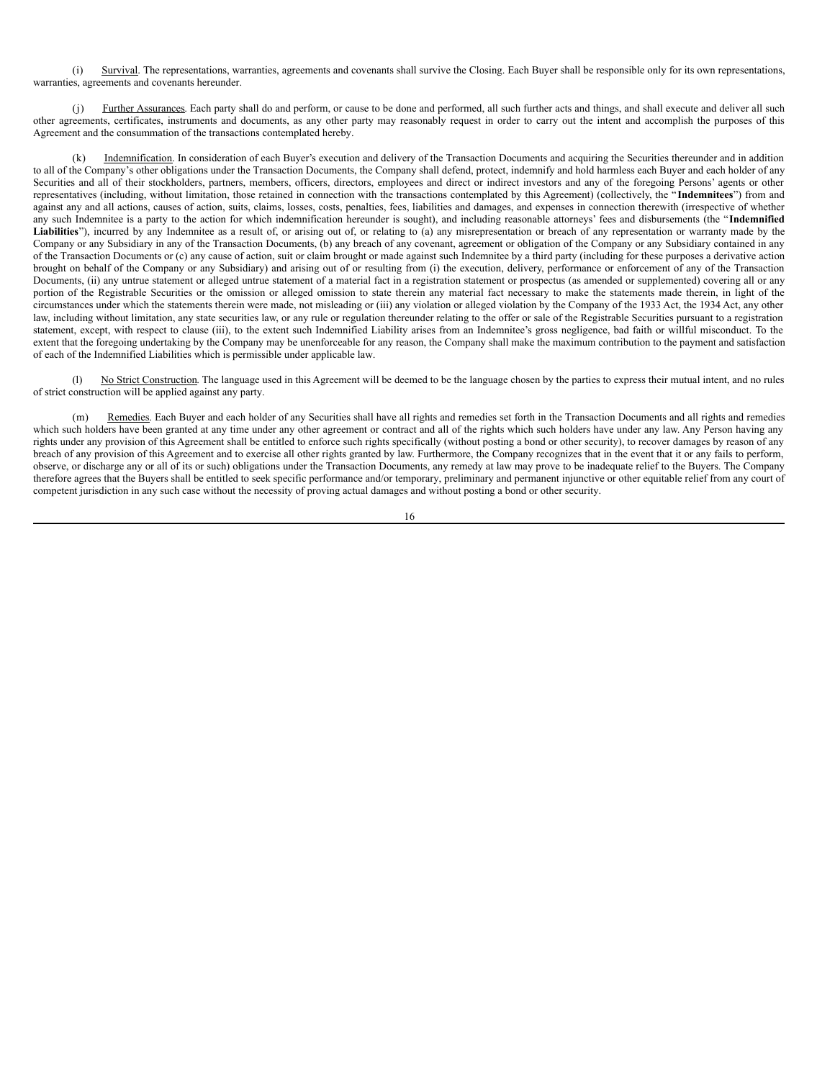(i) Survival. The representations, warranties, agreements and covenants shall survive the Closing. Each Buyer shall be responsible only for its own representations, warranties, agreements and covenants hereunder.

(j) Further Assurances. Each party shall do and perform, or cause to be done and performed, all such further acts and things, and shall execute and deliver all such other agreements, certificates, instruments and documents, as any other party may reasonably request in order to carry out the intent and accomplish the purposes of this Agreement and the consummation of the transactions contemplated hereby.

Indemnification. In consideration of each Buyer's execution and delivery of the Transaction Documents and acquiring the Securities thereunder and in addition to all of the Company's other obligations under the Transaction Documents, the Company shall defend, protect, indemnify and hold harmless each Buyer and each holder of any Securities and all of their stockholders, partners, members, officers, directors, employees and direct or indirect investors and any of the foregoing Persons' agents or other representatives (including, without limitation, those retained in connection with the transactions contemplated by this Agreement) (collectively, the " **Indemnitees**") from and against any and all actions, causes of action, suits, claims, losses, costs, penalties, fees, liabilities and damages, and expenses in connection therewith (irrespective of whether any such Indemnitee is a party to the action for which indemnification hereunder is sought), and including reasonable attorneys' fees and disbursements (the "**Indemnified** Liabilities"), incurred by any Indemnitee as a result of, or arising out of, or relating to (a) any misrepresentation or breach of any representation or warranty made by the Company or any Subsidiary in any of the Transaction Documents, (b) any breach of any covenant, agreement or obligation of the Company or any Subsidiary contained in any of the Transaction Documents or (c) any cause of action, suit or claim brought or made against such Indemnitee by a third party (including for these purposes a derivative action brought on behalf of the Company or any Subsidiary) and arising out of or resulting from (i) the execution, delivery, performance or enforcement of any of the Transaction Documents, (ii) any untrue statement or alleged untrue statement of a material fact in a registration statement or prospectus (as amended or supplemented) covering all or any portion of the Registrable Securities or the omission or alleged omission to state therein any material fact necessary to make the statements made therein, in light of the circumstances under which the statements therein were made, not misleading or (iii) any violation or alleged violation by the Company of the 1933 Act, the 1934 Act, any other law, including without limitation, any state securities law, or any rule or regulation thereunder relating to the offer or sale of the Registrable Securities pursuant to a registration statement, except, with respect to clause (iii), to the extent such Indemnified Liability arises from an Indemnitee's gross negligence, bad faith or willful misconduct. To the extent that the foregoing undertaking by the Company may be unenforceable for any reason, the Company shall make the maximum contribution to the payment and satisfaction of each of the Indemnified Liabilities which is permissible under applicable law.

No Strict Construction. The language used in this Agreement will be deemed to be the language chosen by the parties to express their mutual intent, and no rules of strict construction will be applied against any party.

(m) Remedies. Each Buyer and each holder of any Securities shall have all rights and remedies set forth in the Transaction Documents and all rights and remedies which such holders have been granted at any time under any other agreement or contract and all of the rights which such holders have under any law. Any Person having any rights under any provision of this Agreement shall be entitled to enforce such rights specifically (without posting a bond or other security), to recover damages by reason of any breach of any provision of this Agreement and to exercise all other rights granted by law. Furthermore, the Company recognizes that in the event that it or any fails to perform, observe, or discharge any or all of its or such) obligations under the Transaction Documents, any remedy at law may prove to be inadequate relief to the Buyers. The Company therefore agrees that the Buyers shall be entitled to seek specific performance and/or temporary, preliminary and permanent injunctive or other equitable relief from any court of competent jurisdiction in any such case without the necessity of proving actual damages and without posting a bond or other security.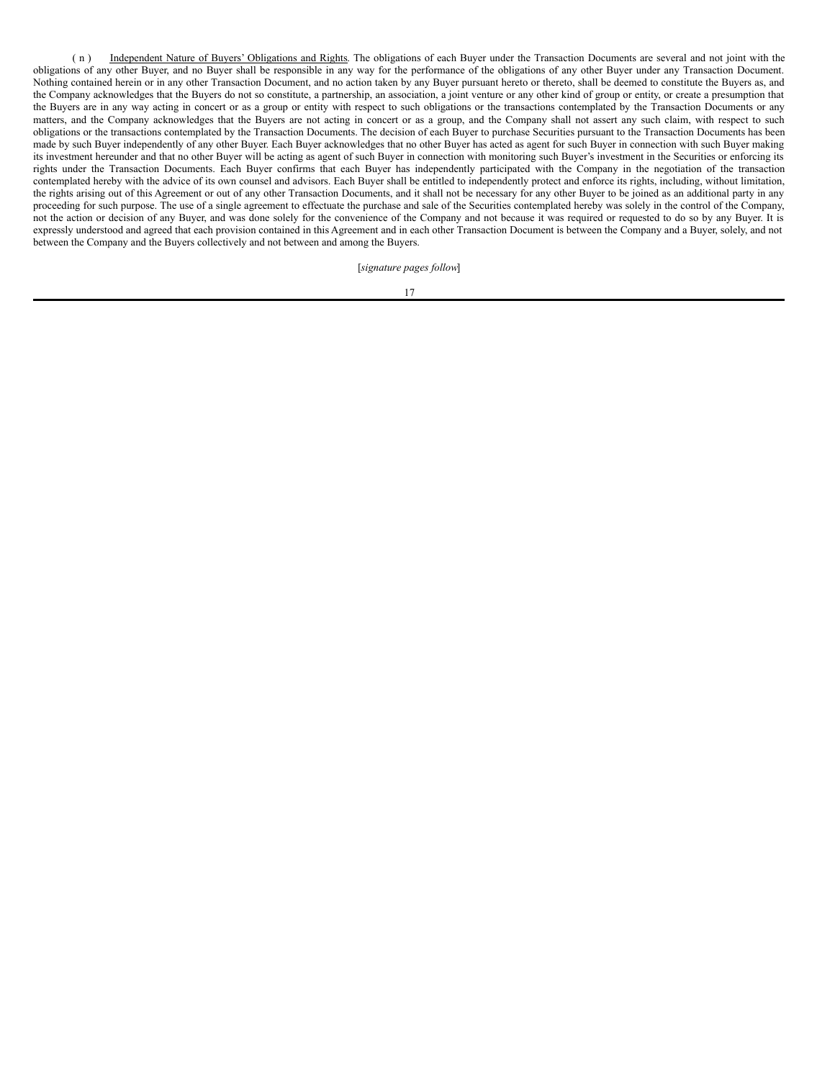( n ) Independent Nature of Buyers' Obligations and Rights. The obligations of each Buyer under the Transaction Documents are several and not joint with the obligations of any other Buyer, and no Buyer shall be responsible in any way for the performance of the obligations of any other Buyer under any Transaction Document. Nothing contained herein or in any other Transaction Document, and no action taken by any Buyer pursuant hereto or thereto, shall be deemed to constitute the Buyers as, and the Company acknowledges that the Buyers do not so constitute, a partnership, an association, a joint venture or any other kind of group or entity, or create a presumption that the Buyers are in any way acting in concert or as a group or entity with respect to such obligations or the transactions contemplated by the Transaction Documents or any matters, and the Company acknowledges that the Buyers are not acting in concert or as a group, and the Company shall not assert any such claim, with respect to such obligations or the transactions contemplated by the Transaction Documents. The decision of each Buyer to purchase Securities pursuant to the Transaction Documents has been made by such Buyer independently of any other Buyer. Each Buyer acknowledges that no other Buyer has acted as agent for such Buyer in connection with such Buyer making its investment hereunder and that no other Buyer will be acting as agent of such Buyer in connection with monitoring such Buyer's investment in the Securities or enforcing its rights under the Transaction Documents. Each Buyer confirms that each Buyer has independently participated with the Company in the negotiation of the transaction contemplated hereby with the advice of its own counsel and advisors. Each Buyer shall be entitled to independently protect and enforce its rights, including, without limitation, the rights arising out of this Agreement or out of any other Transaction Documents, and it shall not be necessary for any other Buyer to be joined as an additional party in any proceeding for such purpose. The use of a single agreement to effectuate the purchase and sale of the Securities contemplated hereby was solely in the control of the Company, not the action or decision of any Buyer, and was done solely for the convenience of the Company and not because it was required or requested to do so by any Buyer. It is expressly understood and agreed that each provision contained in this Agreement and in each other Transaction Document is between the Company and a Buyer, solely, and not between the Company and the Buyers collectively and not between and among the Buyers.

[*signature pages follow*]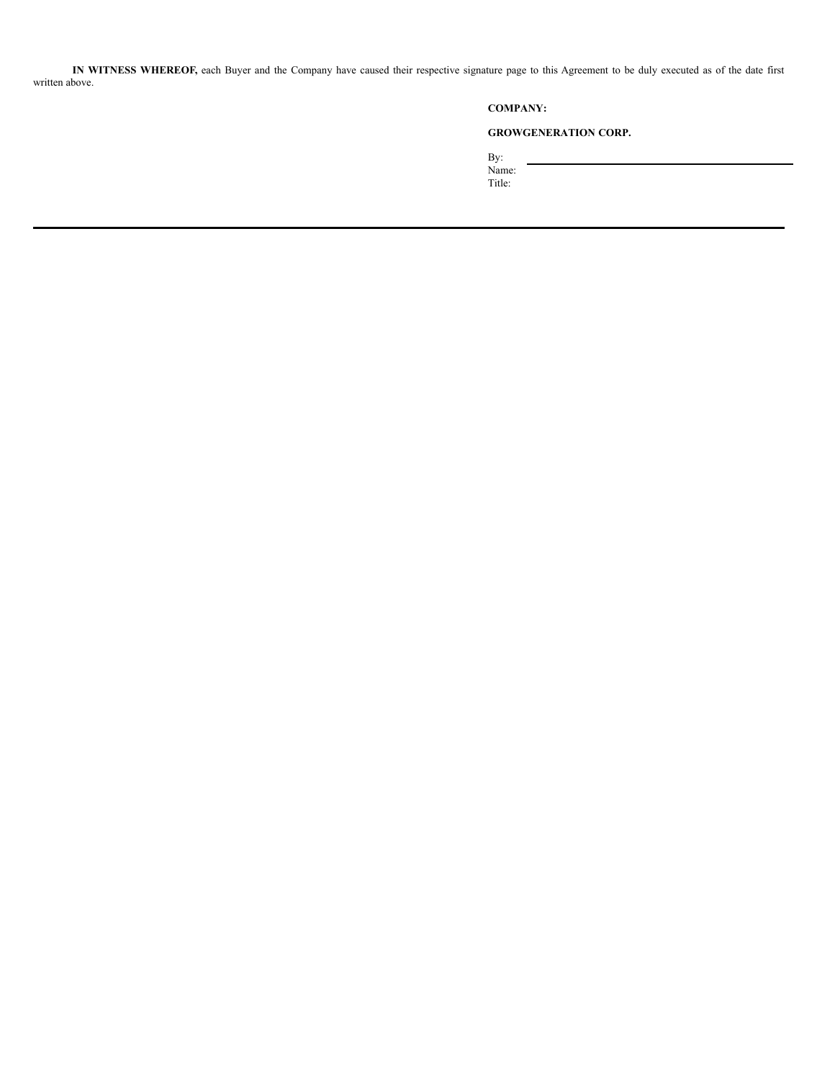**IN WITNESS WHEREOF,** each Buyer and the Company have caused their respective signature page to this Agreement to be duly executed as of the date first written above.

# **COMPANY:**

# **GROWGENERATION CORP.**

By: Name:

Title: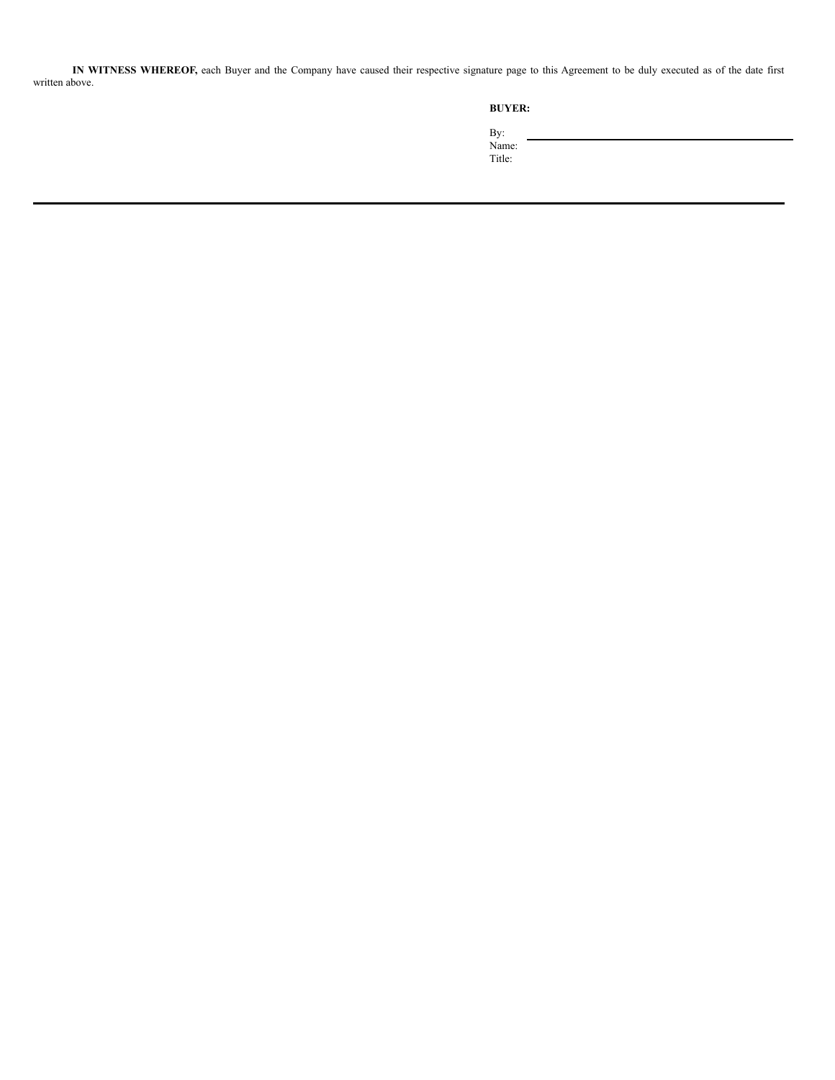**IN WITNESS WHEREOF,** each Buyer and the Company have caused their respective signature page to this Agreement to be duly executed as of the date first written above.

By:

Name: Title: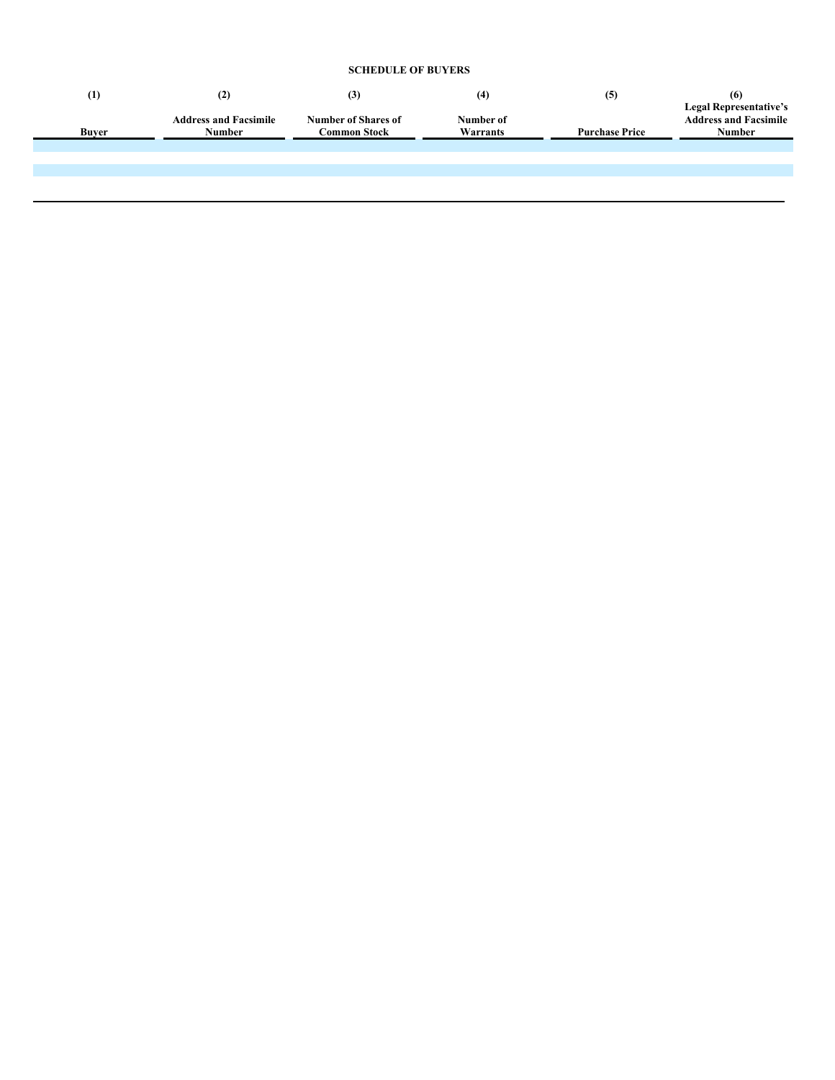# **SCHEDULE OF BUYERS**

| $\scriptstyle{(1)}$ | (2)                                    | (3)                                        | (4)                   | (5)                   | (6)                                                                     |
|---------------------|----------------------------------------|--------------------------------------------|-----------------------|-----------------------|-------------------------------------------------------------------------|
| <b>Buver</b>        | <b>Address and Facsimile</b><br>Number | <b>Number of Shares of</b><br>Common Stock | Number of<br>Warrants | <b>Purchase Price</b> | <b>Legal Representative's</b><br><b>Address and Facsimile</b><br>Number |
|                     |                                        |                                            |                       |                       |                                                                         |
|                     |                                        |                                            |                       |                       |                                                                         |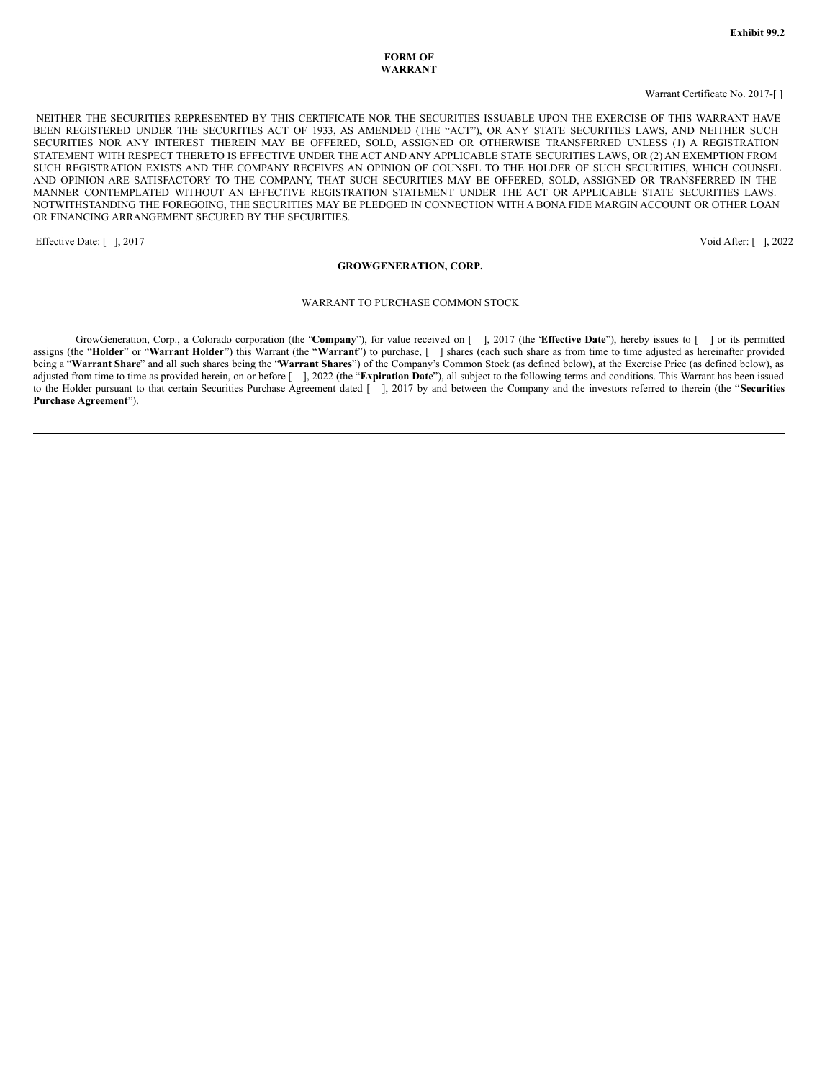### **FORM OF WARRANT**

#### Warrant Certificate No. 2017-[ ]

NEITHER THE SECURITIES REPRESENTED BY THIS CERTIFICATE NOR THE SECURITIES ISSUABLE UPON THE EXERCISE OF THIS WARRANT HAVE BEEN REGISTERED UNDER THE SECURITIES ACT OF 1933, AS AMENDED (THE "ACT"), OR ANY STATE SECURITIES LAWS, AND NEITHER SUCH SECURITIES NOR ANY INTEREST THEREIN MAY BE OFFERED, SOLD, ASSIGNED OR OTHERWISE TRANSFERRED UNLESS (1) A REGISTRATION STATEMENT WITH RESPECT THERETO IS EFFECTIVE UNDER THE ACT AND ANY APPLICABLE STATE SECURITIES LAWS, OR (2) AN EXEMPTION FROM SUCH REGISTRATION EXISTS AND THE COMPANY RECEIVES AN OPINION OF COUNSEL TO THE HOLDER OF SUCH SECURITIES, WHICH COUNSEL AND OPINION ARE SATISFACTORY TO THE COMPANY, THAT SUCH SECURITIES MAY BE OFFERED, SOLD, ASSIGNED OR TRANSFERRED IN THE MANNER CONTEMPLATED WITHOUT AN EFFECTIVE REGISTRATION STATEMENT UNDER THE ACT OR APPLICABLE STATE SECURITIES LAWS. NOTWITHSTANDING THE FOREGOING, THE SECURITIES MAY BE PLEDGED IN CONNECTION WITH A BONA FIDE MARGIN ACCOUNT OR OTHER LOAN OR FINANCING ARRANGEMENT SECURED BY THE SECURITIES.

Effective Date: [ ], 2017 Void After: [ ], 2022

#### **GROWGENERATION, CORP.**

#### WARRANT TO PURCHASE COMMON STOCK

GrowGeneration, Corp., a Colorado corporation (the "**Company**"), for value received on [ ], 2017 (the "**Effective Date**"), hereby issues to [ ] or its permitted assigns (the "**Holder**" or "**Warrant Holder**") this Warrant (the "**Warrant**") to purchase, [ ] shares (each such share as from time to time adjusted as hereinafter provided being a "**Warrant Share**" and all such shares being the "**Warrant Shares**") of the Company's Common Stock (as defined below), at the Exercise Price (as defined below), as adjusted from time to time as provided herein, on or before [ ], 2022 (the "Expiration Date"), all subject to the following terms and conditions. This Warrant has been issued to the Holder pursuant to that certain Securities Purchase Agreement dated [ ], 2017 by and between the Company and the investors referred to therein (the "Securities **Purchase Agreement**").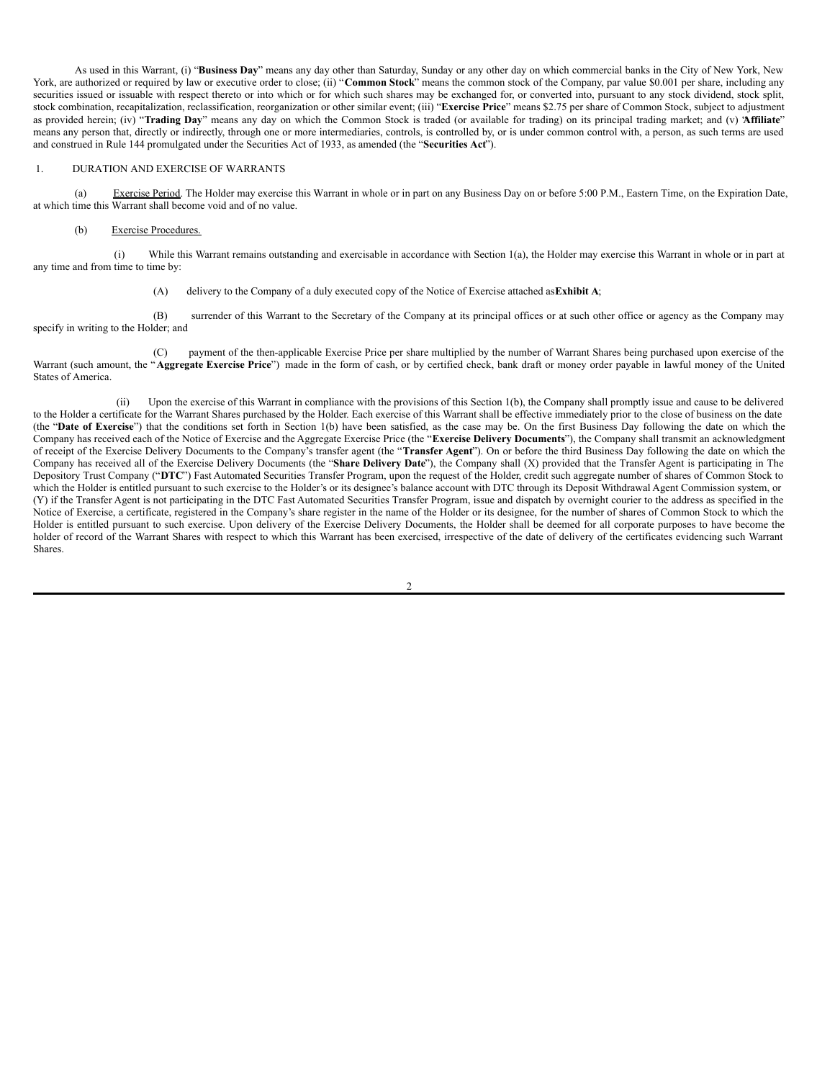As used in this Warrant, (i) "**Business Day**" means any day other than Saturday, Sunday or any other day on which commercial banks in the City of New York, New York, are authorized or required by law or executive order to close; (ii) "Common Stock" means the common stock of the Company, par value \$0.001 per share, including any securities issued or issuable with respect thereto or into which or for which such shares may be exchanged for, or converted into, pursuant to any stock dividend, stock split, stock combination, recapitalization, reclassification, reorganization or other similar event; (iii) "**Exercise Price**" means \$2.75 per share of Common Stock, subject to adjustment as provided herein; (iv) "**Trading Day**" means any day on which the Common Stock is traded (or available for trading) on its principal trading market; and (v) "**Affiliate**" means any person that, directly or indirectly, through one or more intermediaries, controls, is controlled by, or is under common control with, a person, as such terms are used and construed in Rule 144 promulgated under the Securities Act of 1933, as amended (the "**Securities Act**").

#### 1. DURATION AND EXERCISE OF WARRANTS

(a) Exercise Period. The Holder may exercise this Warrant in whole or in part on any Business Day on or before 5:00 P.M., Eastern Time, on the Expiration Date, at which time this Warrant shall become void and of no value.

#### (b) Exercise Procedures.

(i) While this Warrant remains outstanding and exercisable in accordance with Section 1(a), the Holder may exercise this Warrant in whole or in part at any time and from time to time by:

(A) delivery to the Company of a duly executed copy of the Notice of Exercise attached as**Exhibit A**;

(B) surrender of this Warrant to the Secretary of the Company at its principal offices or at such other office or agency as the Company may specify in writing to the Holder; and

(C) payment of the then-applicable Exercise Price per share multiplied by the number of Warrant Shares being purchased upon exercise of the Warrant (such amount, the "**Aggregate Exercise Price**") made in the form of cash, or by certified check, bank draft or money order payable in lawful money of the United States of America.

(ii) Upon the exercise of this Warrant in compliance with the provisions of this Section 1(b), the Company shall promptly issue and cause to be delivered to the Holder a certificate for the Warrant Shares purchased by the Holder. Each exercise of this Warrant shall be effective immediately prior to the close of business on the date (the "**Date of Exercise**") that the conditions set forth in Section 1(b) have been satisfied, as the case may be. On the first Business Day following the date on which the Company has received each of the Notice of Exercise and the Aggregate Exercise Price (the "**Exercise Delivery Documents**"), the Company shall transmit an acknowledgment of receipt of the Exercise Delivery Documents to the Company's transfer agent (the "**Transfer Agent**"). On or before the third Business Day following the date on which the Company has received all of the Exercise Delivery Documents (the "**Share Delivery Date**"), the Company shall (X) provided that the Transfer Agent is participating in The Depository Trust Company ("**DTC**") Fast Automated Securities Transfer Program, upon the request of the Holder, credit such aggregate number of shares of Common Stock to which the Holder is entitled pursuant to such exercise to the Holder's or its designee's balance account with DTC through its Deposit Withdrawal Agent Commission system, or (Y) if the Transfer Agent is not participating in the DTC Fast Automated Securities Transfer Program, issue and dispatch by overnight courier to the address as specified in the Notice of Exercise, a certificate, registered in the Company's share register in the name of the Holder or its designee, for the number of shares of Common Stock to which the Holder is entitled pursuant to such exercise. Upon delivery of the Exercise Delivery Documents, the Holder shall be deemed for all corporate purposes to have become the holder of record of the Warrant Shares with respect to which this Warrant has been exercised, irrespective of the date of delivery of the certificates evidencing such Warrant Shares.

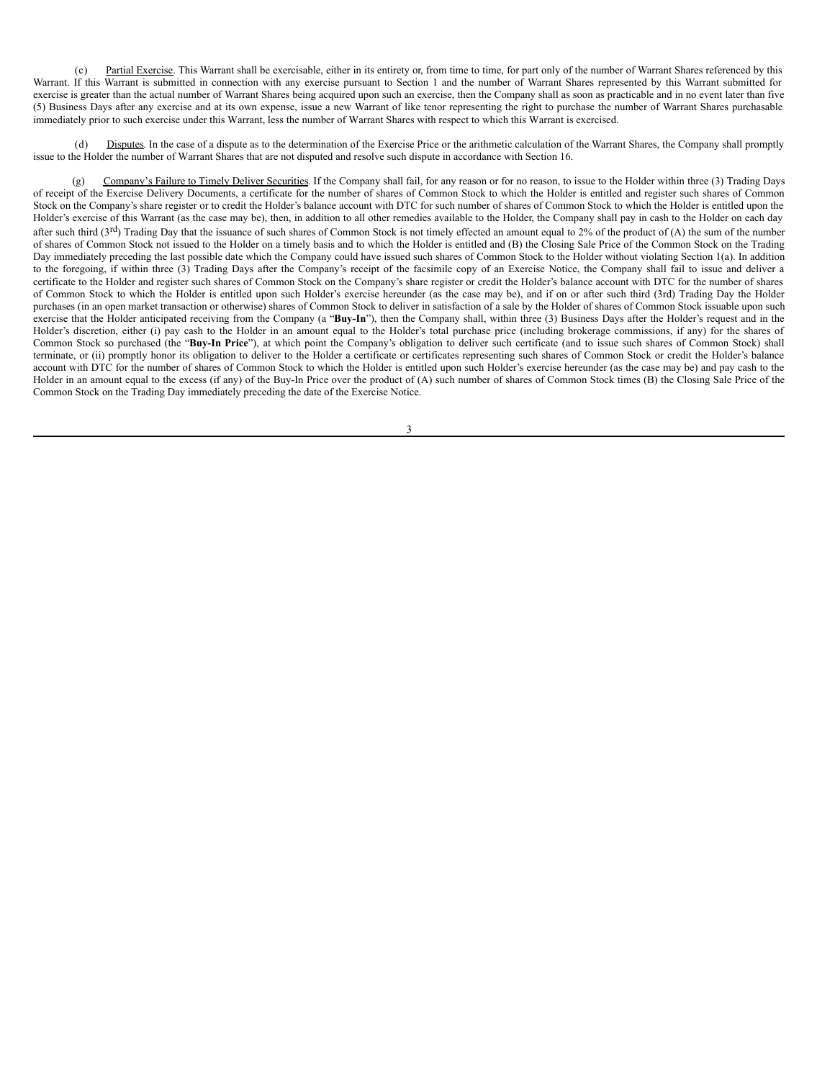(c) Partial Exercise. This Warrant shall be exercisable, either in its entirety or, from time to time, for part only of the number of Warrant Shares referenced by this Warrant. If this Warrant is submitted in connection with any exercise pursuant to Section 1 and the number of Warrant Shares represented by this Warrant submitted for exercise is greater than the actual number of Warrant Shares being acquired upon such an exercise, then the Company shall as soon as practicable and in no event later than five (5) Business Days after any exercise and at its own expense, issue a new Warrant of like tenor representing the right to purchase the number of Warrant Shares purchasable immediately prior to such exercise under this Warrant, less the number of Warrant Shares with respect to which this Warrant is exercised.

Disputes. In the case of a dispute as to the determination of the Exercise Price or the arithmetic calculation of the Warrant Shares, the Company shall promptly issue to the Holder the number of Warrant Shares that are not disputed and resolve such dispute in accordance with Section 16.

(g) Company's Failure to Timely Deliver Securities. If the Company shall fail, for any reason or for no reason, to issue to the Holder within three (3) Trading Days of receipt of the Exercise Delivery Documents, a certificate for the number of shares of Common Stock to which the Holder is entitled and register such shares of Common Stock on the Company's share register or to credit the Holder's balance account with DTC for such number of shares of Common Stock to which the Holder is entitled upon the Holder's exercise of this Warrant (as the case may be), then, in addition to all other remedies available to the Holder, the Company shall pay in cash to the Holder on each day after such third (3<sup>rd</sup>) Trading Day that the issuance of such shares of Common Stock is not timely effected an amount equal to 2% of the product of (A) the sum of the number of shares of Common Stock not issued to the Holder on a timely basis and to which the Holder is entitled and (B) the Closing Sale Price of the Common Stock on the Trading Day immediately preceding the last possible date which the Company could have issued such shares of Common Stock to the Holder without violating Section 1(a). In addition to the foregoing, if within three (3) Trading Days after the Company's receipt of the facsimile copy of an Exercise Notice, the Company shall fail to issue and deliver a certificate to the Holder and register such shares of Common Stock on the Company's share register or credit the Holder's balance account with DTC for the number of shares of Common Stock to which the Holder is entitled upon such Holder's exercise hereunder (as the case may be), and if on or after such third (3rd) Trading Day the Holder purchases (in an open market transaction or otherwise) shares of Common Stock to deliver in satisfaction of a sale by the Holder of shares of Common Stock issuable upon such exercise that the Holder anticipated receiving from the Company (a "Buy-In"), then the Company shall, within three (3) Business Days after the Holder's request and in the Holder's discretion, either (i) pay cash to the Holder in an amount equal to the Holder's total purchase price (including brokerage commissions, if any) for the shares of Common Stock so purchased (the "**Buy-In Price**"), at which point the Company's obligation to deliver such certificate (and to issue such shares of Common Stock) shall terminate, or (ii) promptly honor its obligation to deliver to the Holder a certificate or certificates representing such shares of Common Stock or credit the Holder's balance account with DTC for the number of shares of Common Stock to which the Holder is entitled upon such Holder's exercise hereunder (as the case may be) and pay cash to the Holder in an amount equal to the excess (if any) of the Buy-In Price over the product of (A) such number of shares of Common Stock times (B) the Closing Sale Price of the Common Stock on the Trading Day immediately preceding the date of the Exercise Notice.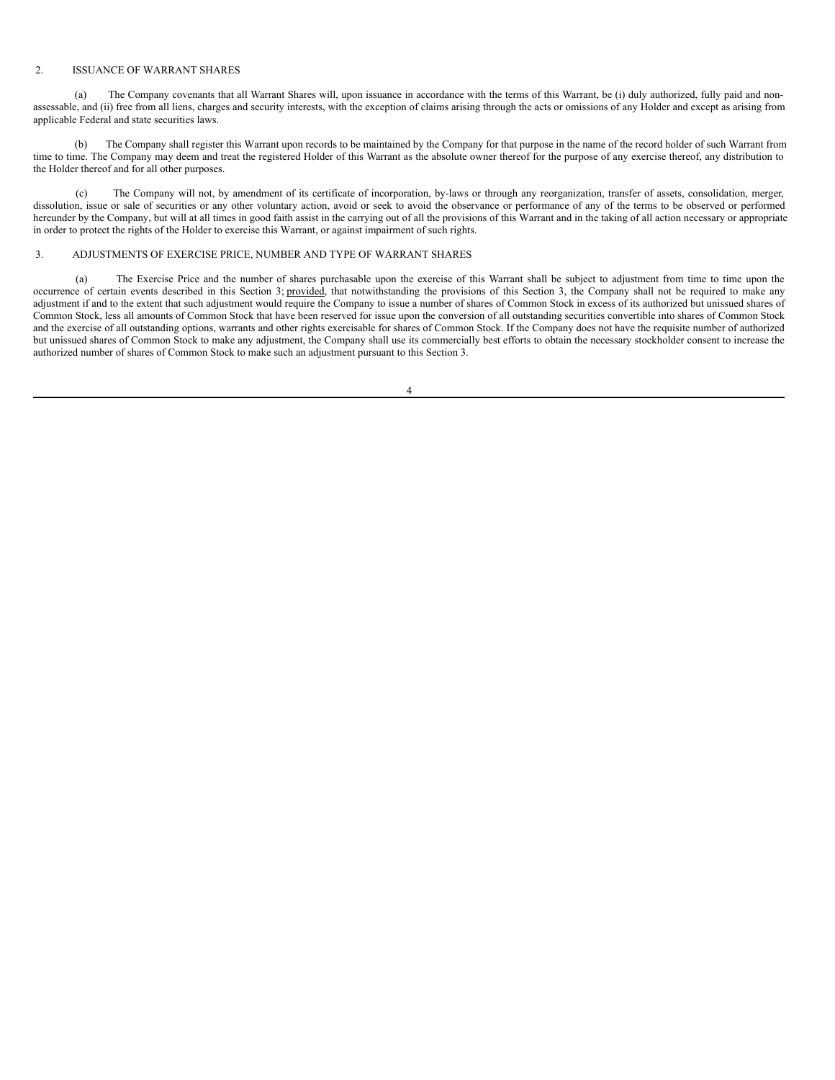#### 2. ISSUANCE OF WARRANT SHARES

(a) The Company covenants that all Warrant Shares will, upon issuance in accordance with the terms of this Warrant, be (i) duly authorized, fully paid and nonassessable, and (ii) free from all liens, charges and security interests, with the exception of claims arising through the acts or omissions of any Holder and except as arising from applicable Federal and state securities laws.

The Company shall register this Warrant upon records to be maintained by the Company for that purpose in the name of the record holder of such Warrant from time to time. The Company may deem and treat the registered Holder of this Warrant as the absolute owner thereof for the purpose of any exercise thereof, any distribution to the Holder thereof and for all other purposes.

(c) The Company will not, by amendment of its certificate of incorporation, by-laws or through any reorganization, transfer of assets, consolidation, merger, dissolution, issue or sale of securities or any other voluntary action, avoid or seek to avoid the observance or performance of any of the terms to be observed or performed hereunder by the Company, but will at all times in good faith assist in the carrying out of all the provisions of this Warrant and in the taking of all action necessary or appropriate in order to protect the rights of the Holder to exercise this Warrant, or against impairment of such rights.

## 3. ADJUSTMENTS OF EXERCISE PRICE, NUMBER AND TYPE OF WARRANT SHARES

(a) The Exercise Price and the number of shares purchasable upon the exercise of this Warrant shall be subject to adjustment from time to time upon the occurrence of certain events described in this Section 3; provided, that notwithstanding the provisions of this Section 3, the Company shall not be required to make any adjustment if and to the extent that such adjustment would require the Company to issue a number of shares of Common Stock in excess of its authorized but unissued shares of Common Stock, less all amounts of Common Stock that have been reserved for issue upon the conversion of all outstanding securities convertible into shares of Common Stock and the exercise of all outstanding options, warrants and other rights exercisable for shares of Common Stock. If the Company does not have the requisite number of authorized but unissued shares of Common Stock to make any adjustment, the Company shall use its commercially best efforts to obtain the necessary stockholder consent to increase the authorized number of shares of Common Stock to make such an adjustment pursuant to this Section 3.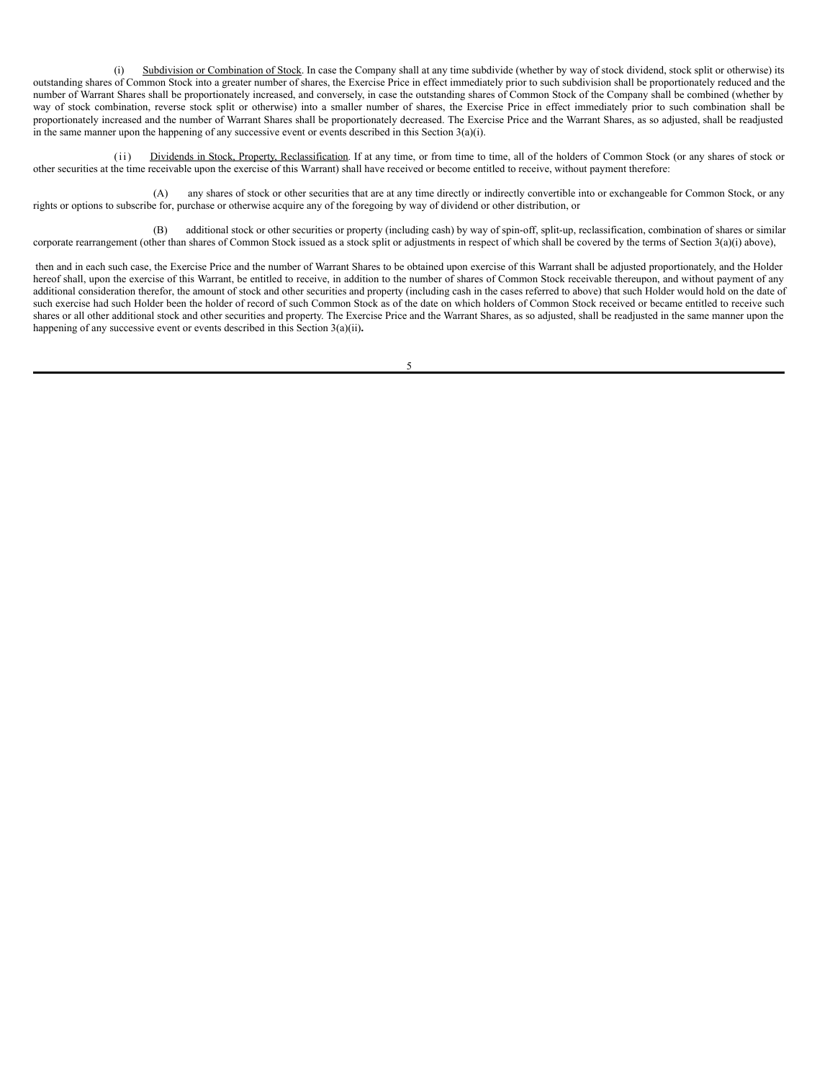(i) Subdivision or Combination of Stock. In case the Company shall at any time subdivide (whether by way of stock dividend, stock split or otherwise) its outstanding shares of Common Stock into a greater number of shares, the Exercise Price in effect immediately prior to such subdivision shall be proportionately reduced and the number of Warrant Shares shall be proportionately increased, and conversely, in case the outstanding shares of Common Stock of the Company shall be combined (whether by way of stock combination, reverse stock split or otherwise) into a smaller number of shares, the Exercise Price in effect immediately prior to such combination shall be proportionately increased and the number of Warrant Shares shall be proportionately decreased. The Exercise Price and the Warrant Shares, as so adjusted, shall be readjusted in the same manner upon the happening of any successive event or events described in this Section 3(a)(i).

(ii) Dividends in Stock, Property, Reclassification. If at any time, or from time to time, all of the holders of Common Stock (or any shares of stock or other securities at the time receivable upon the exercise of this Warrant) shall have received or become entitled to receive, without payment therefore:

(A) any shares of stock or other securities that are at any time directly or indirectly convertible into or exchangeable for Common Stock, or any rights or options to subscribe for, purchase or otherwise acquire any of the foregoing by way of dividend or other distribution, or

(B) additional stock or other securities or property (including cash) by way of spin-off, split-up, reclassification, combination of shares or similar corporate rearrangement (other than shares of Common Stock issued as a stock split or adjustments in respect of which shall be covered by the terms of Section 3(a)(i) above),

then and in each such case, the Exercise Price and the number of Warrant Shares to be obtained upon exercise of this Warrant shall be adjusted proportionately, and the Holder hereof shall, upon the exercise of this Warrant, be entitled to receive, in addition to the number of shares of Common Stock receivable thereupon, and without payment of any additional consideration therefor, the amount of stock and other securities and property (including cash in the cases referred to above) that such Holder would hold on the date of such exercise had such Holder been the holder of record of such Common Stock as of the date on which holders of Common Stock received or became entitled to receive such shares or all other additional stock and other securities and property. The Exercise Price and the Warrant Shares, as so adjusted, shall be readjusted in the same manner upon the happening of any successive event or events described in this Section 3(a)(ii)**.**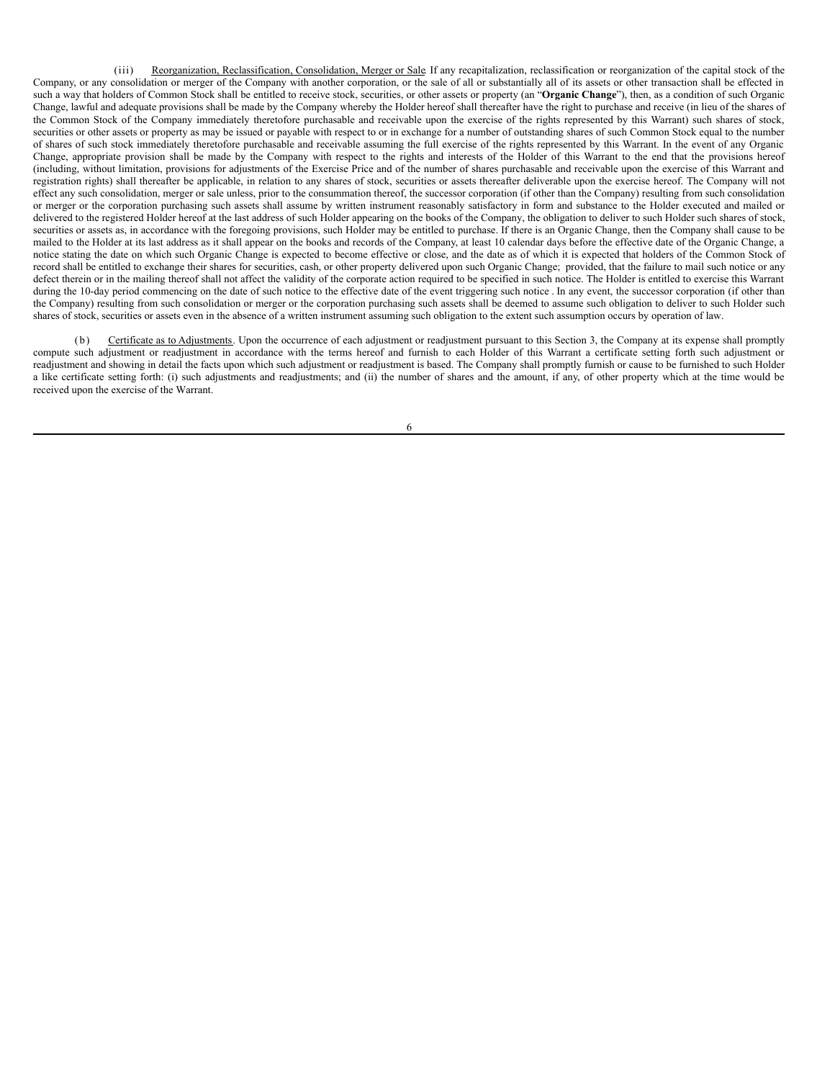(iii) Reorganization, Reclassification, Consolidation, Merger or Sale. If any recapitalization, reclassification or reorganization of the capital stock of the Company, or any consolidation or merger of the Company with another corporation, or the sale of all or substantially all of its assets or other transaction shall be effected in such a way that holders of Common Stock shall be entitled to receive stock, securities, or other assets or property (an "**Organic Change**"), then, as a condition of such Organic Change, lawful and adequate provisions shall be made by the Company whereby the Holder hereof shall thereafter have the right to purchase and receive (in lieu of the shares of the Common Stock of the Company immediately theretofore purchasable and receivable upon the exercise of the rights represented by this Warrant) such shares of stock, securities or other assets or property as may be issued or payable with respect to or in exchange for a number of outstanding shares of such Common Stock equal to the number of shares of such stock immediately theretofore purchasable and receivable assuming the full exercise of the rights represented by this Warrant. In the event of any Organic Change, appropriate provision shall be made by the Company with respect to the rights and interests of the Holder of this Warrant to the end that the provisions hereof (including, without limitation, provisions for adjustments of the Exercise Price and of the number of shares purchasable and receivable upon the exercise of this Warrant and registration rights) shall thereafter be applicable, in relation to any shares of stock, securities or assets thereafter deliverable upon the exercise hereof. The Company will not effect any such consolidation, merger or sale unless, prior to the consummation thereof, the successor corporation (if other than the Company) resulting from such consolidation or merger or the corporation purchasing such assets shall assume by written instrument reasonably satisfactory in form and substance to the Holder executed and mailed or delivered to the registered Holder hereof at the last address of such Holder appearing on the books of the Company, the obligation to deliver to such Holder such shares of stock, securities or assets as, in accordance with the foregoing provisions, such Holder may be entitled to purchase. If there is an Organic Change, then the Company shall cause to be mailed to the Holder at its last address as it shall appear on the books and records of the Company, at least 10 calendar days before the effective date of the Organic Change, a notice stating the date on which such Organic Change is expected to become effective or close, and the date as of which it is expected that holders of the Common Stock of record shall be entitled to exchange their shares for securities, cash, or other property delivered upon such Organic Change; provided, that the failure to mail such notice or any defect therein or in the mailing thereof shall not affect the validity of the corporate action required to be specified in such notice. The Holder is entitled to exercise this Warrant during the 10-day period commencing on the date of such notice to the effective date of the event triggering such notice . In any event, the successor corporation (if other than the Company) resulting from such consolidation or merger or the corporation purchasing such assets shall be deemed to assume such obligation to deliver to such Holder such shares of stock, securities or assets even in the absence of a written instrument assuming such obligation to the extent such assumption occurs by operation of law.

(b) Certificate as to Adjustments. Upon the occurrence of each adjustment or readjustment pursuant to this Section 3, the Company at its expense shall promptly compute such adjustment or readjustment in accordance with the terms hereof and furnish to each Holder of this Warrant a certificate setting forth such adjustment or readjustment and showing in detail the facts upon which such adjustment or readjustment is based. The Company shall promptly furnish or cause to be furnished to such Holder a like certificate setting forth: (i) such adjustments and readjustments; and (ii) the number of shares and the amount, if any, of other property which at the time would be received upon the exercise of the Warrant.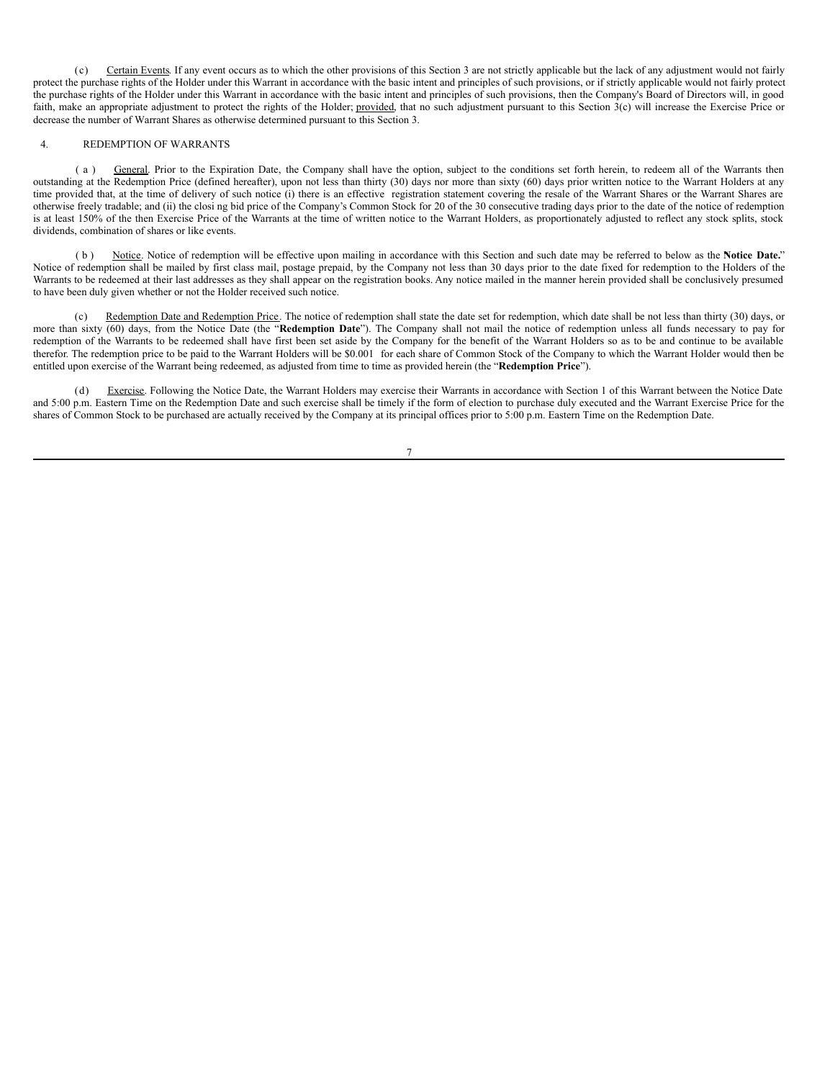(c) Certain Events. If any event occurs as to which the other provisions of this Section 3 are not strictly applicable but the lack of any adjustment would not fairly protect the purchase rights of the Holder under this Warrant in accordance with the basic intent and principles of such provisions, or if strictly applicable would not fairly protect the purchase rights of the Holder under this Warrant in accordance with the basic intent and principles of such provisions, then the Company's Board of Directors will, in good faith, make an appropriate adjustment to protect the rights of the Holder; provided, that no such adjustment pursuant to this Section 3(c) will increase the Exercise Price or decrease the number of Warrant Shares as otherwise determined pursuant to this Section 3.

#### 4. REDEMPTION OF WARRANTS

( a ) General. Prior to the Expiration Date, the Company shall have the option, subject to the conditions set forth herein, to redeem all of the Warrants then outstanding at the Redemption Price (defined hereafter), upon not less than thirty (30) days nor more than sixty (60) days prior written notice to the Warrant Holders at any time provided that, at the time of delivery of such notice (i) there is an effective registration statement covering the resale of the Warrant Shares or the Warrant Shares are otherwise freely tradable; and (ii) the closi ng bid price of the Company's Common Stock for 20 of the 30 consecutive trading days prior to the date of the notice of redemption is at least 150% of the then Exercise Price of the Warrants at the time of written notice to the Warrant Holders, as proportionately adjusted to reflect any stock splits, stock dividends, combination of shares or like events.

Notice. Notice of redemption will be effective upon mailing in accordance with this Section and such date may be referred to below as the Notice Date." Notice of redemption shall be mailed by first class mail, postage prepaid, by the Company not less than 30 days prior to the date fixed for redemption to the Holders of the Warrants to be redeemed at their last addresses as they shall appear on the registration books. Any notice mailed in the manner herein provided shall be conclusively presumed to have been duly given whether or not the Holder received such notice.

(c) Redemption Date and Redemption Price. The notice of redemption shall state the date set for redemption, which date shall be not less than thirty (30) days, or more than sixty (60) days, from the Notice Date (the "**Redemption Date**"). The Company shall not mail the notice of redemption unless all funds necessary to pay for redemption of the Warrants to be redeemed shall have first been set aside by the Company for the benefit of the Warrant Holders so as to be and continue to be available therefor. The redemption price to be paid to the Warrant Holders will be \$0.001 for each share of Common Stock of the Company to which the Warrant Holder would then be entitled upon exercise of the Warrant being redeemed, as adjusted from time to time as provided herein (the "**Redemption Price**").

(d) Exercise. Following the Notice Date, the Warrant Holders may exercise their Warrants in accordance with Section 1 of this Warrant between the Notice Date and 5:00 p.m. Eastern Time on the Redemption Date and such exercise shall be timely if the form of election to purchase duly executed and the Warrant Exercise Price for the shares of Common Stock to be purchased are actually received by the Company at its principal offices prior to 5:00 p.m. Eastern Time on the Redemption Date.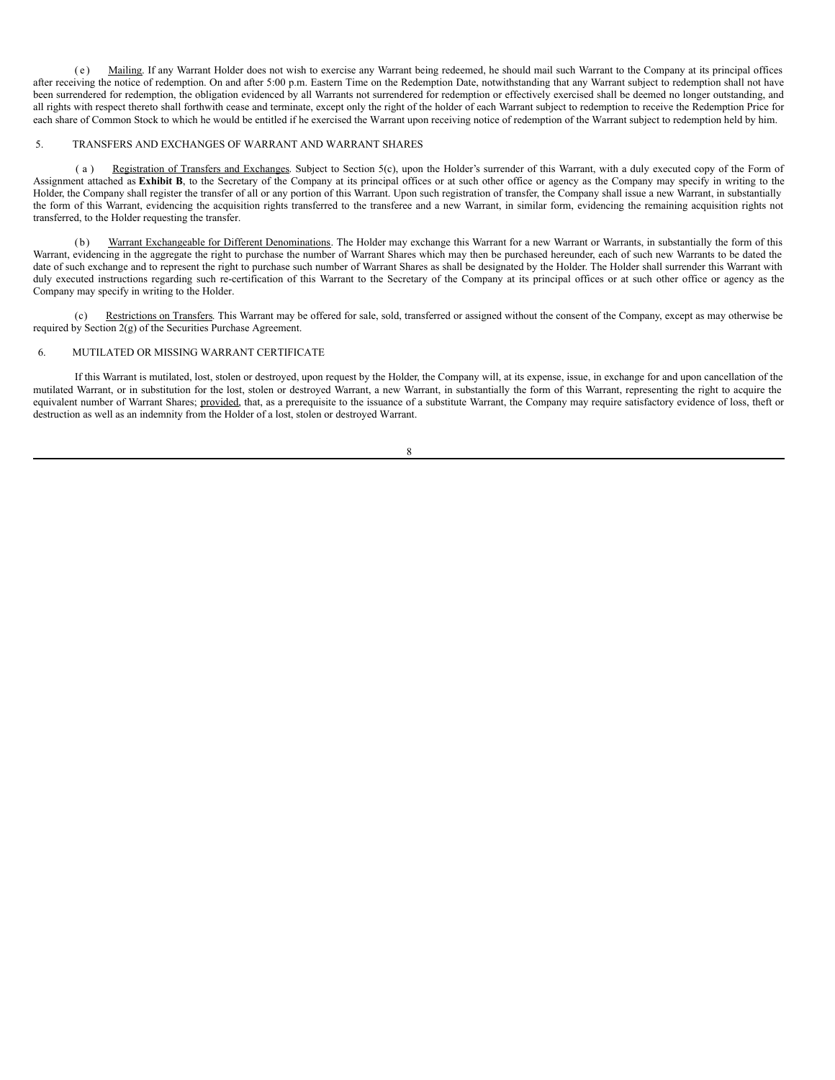( e ) Mailing. If any Warrant Holder does not wish to exercise any Warrant being redeemed, he should mail such Warrant to the Company at its principal offices after receiving the notice of redemption. On and after 5:00 p.m. Eastern Time on the Redemption Date, notwithstanding that any Warrant subject to redemption shall not have been surrendered for redemption, the obligation evidenced by all Warrants not surrendered for redemption or effectively exercised shall be deemed no longer outstanding, and all rights with respect thereto shall forthwith cease and terminate, except only the right of the holder of each Warrant subject to redemption to receive the Redemption Price for each share of Common Stock to which he would be entitled if he exercised the Warrant upon receiving notice of redemption of the Warrant subject to redemption held by him.

#### 5. TRANSFERS AND EXCHANGES OF WARRANT AND WARRANT SHARES

(a) Registration of Transfers and Exchanges. Subject to Section 5(c), upon the Holder's surrender of this Warrant, with a duly executed copy of the Form of Assignment attached as **Exhibit B**, to the Secretary of the Company at its principal offices or at such other office or agency as the Company may specify in writing to the Holder, the Company shall register the transfer of all or any portion of this Warrant. Upon such registration of transfer, the Company shall issue a new Warrant, in substantially the form of this Warrant, evidencing the acquisition rights transferred to the transferee and a new Warrant, in similar form, evidencing the remaining acquisition rights not transferred, to the Holder requesting the transfer.

(b) Warrant Exchangeable for Different Denominations. The Holder may exchange this Warrant for a new Warrant or Warrants, in substantially the form of this Warrant, evidencing in the aggregate the right to purchase the number of Warrant Shares which may then be purchased hereunder, each of such new Warrants to be dated the date of such exchange and to represent the right to purchase such number of Warrant Shares as shall be designated by the Holder. The Holder shall surrender this Warrant with duly executed instructions regarding such re-certification of this Warrant to the Secretary of the Company at its principal offices or at such other office or agency as the Company may specify in writing to the Holder.

Restrictions on Transfers. This Warrant may be offered for sale, sold, transferred or assigned without the consent of the Company, except as may otherwise be required by Section 2(g) of the Securities Purchase Agreement.

#### 6. MUTILATED OR MISSING WARRANT CERTIFICATE

If this Warrant is mutilated, lost, stolen or destroyed, upon request by the Holder, the Company will, at its expense, issue, in exchange for and upon cancellation of the mutilated Warrant, or in substitution for the lost, stolen or destroyed Warrant, a new Warrant, in substantially the form of this Warrant, representing the right to acquire the equivalent number of Warrant Shares; provided, that, as a prerequisite to the issuance of a substitute Warrant, the Company may require satisfactory evidence of loss, theft or destruction as well as an indemnity from the Holder of a lost, stolen or destroyed Warrant.

| I            |
|--------------|
| I<br>×<br>M. |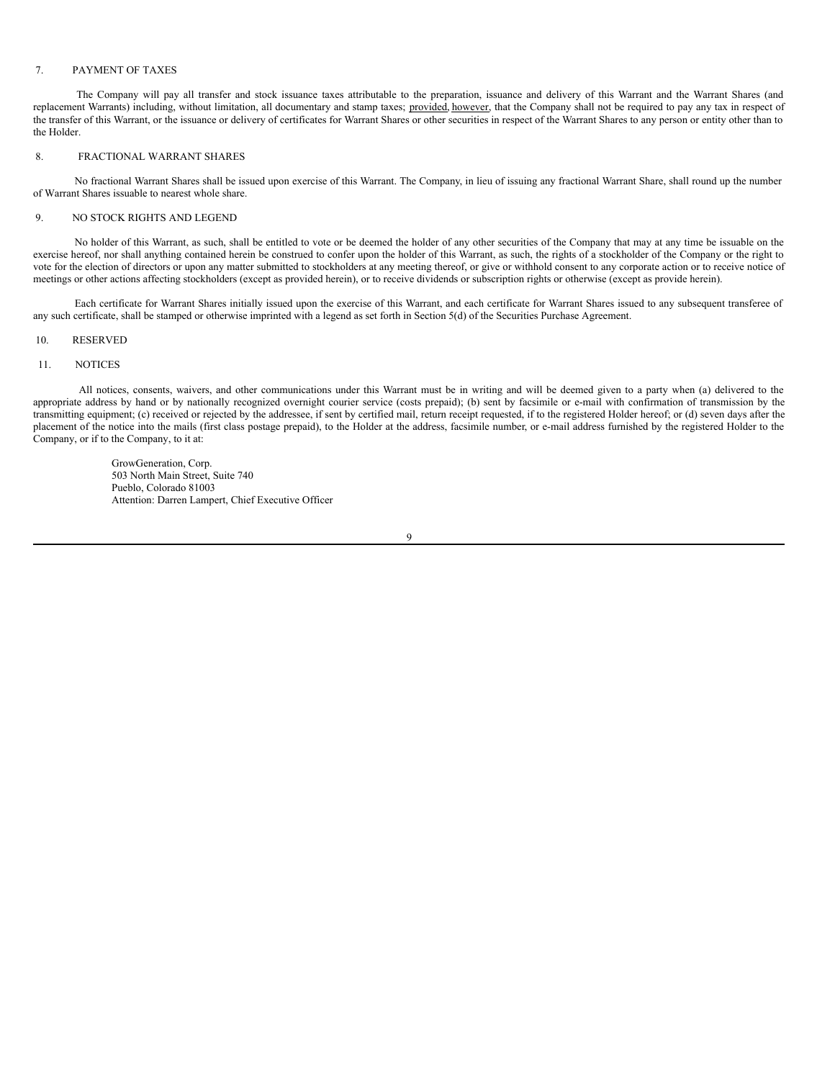#### 7. PAYMENT OF TAXES

The Company will pay all transfer and stock issuance taxes attributable to the preparation, issuance and delivery of this Warrant and the Warrant Shares (and replacement Warrants) including, without limitation, all documentary and stamp taxes; provided, however, that the Company shall not be required to pay any tax in respect of the transfer of this Warrant, or the issuance or delivery of certificates for Warrant Shares or other securities in respect of the Warrant Shares to any person or entity other than to the Holder.

## 8. FRACTIONAL WARRANT SHARES

No fractional Warrant Shares shall be issued upon exercise of this Warrant. The Company, in lieu of issuing any fractional Warrant Share, shall round up the number of Warrant Shares issuable to nearest whole share.

## 9. NO STOCK RIGHTS AND LEGEND

No holder of this Warrant, as such, shall be entitled to vote or be deemed the holder of any other securities of the Company that may at any time be issuable on the exercise hereof, nor shall anything contained herein be construed to confer upon the holder of this Warrant, as such, the rights of a stockholder of the Company or the right to vote for the election of directors or upon any matter submitted to stockholders at any meeting thereof, or give or withhold consent to any corporate action or to receive notice of meetings or other actions affecting stockholders (except as provided herein), or to receive dividends or subscription rights or otherwise (except as provide herein).

Each certificate for Warrant Shares initially issued upon the exercise of this Warrant, and each certificate for Warrant Shares issued to any subsequent transferee of any such certificate, shall be stamped or otherwise imprinted with a legend as set forth in Section 5(d) of the Securities Purchase Agreement.

#### 10. RESERVED

#### 11. NOTICES

All notices, consents, waivers, and other communications under this Warrant must be in writing and will be deemed given to a party when (a) delivered to the appropriate address by hand or by nationally recognized overnight courier service (costs prepaid); (b) sent by facsimile or e-mail with confirmation of transmission by the transmitting equipment; (c) received or rejected by the addressee, if sent by certified mail, return receipt requested, if to the registered Holder hereof; or (d) seven days after the placement of the notice into the mails (first class postage prepaid), to the Holder at the address, facsimile number, or e-mail address furnished by the registered Holder to the Company, or if to the Company, to it at:

> GrowGeneration, Corp. 503 North Main Street, Suite 740 Pueblo, Colorado 81003 Attention: Darren Lampert, Chief Executive Officer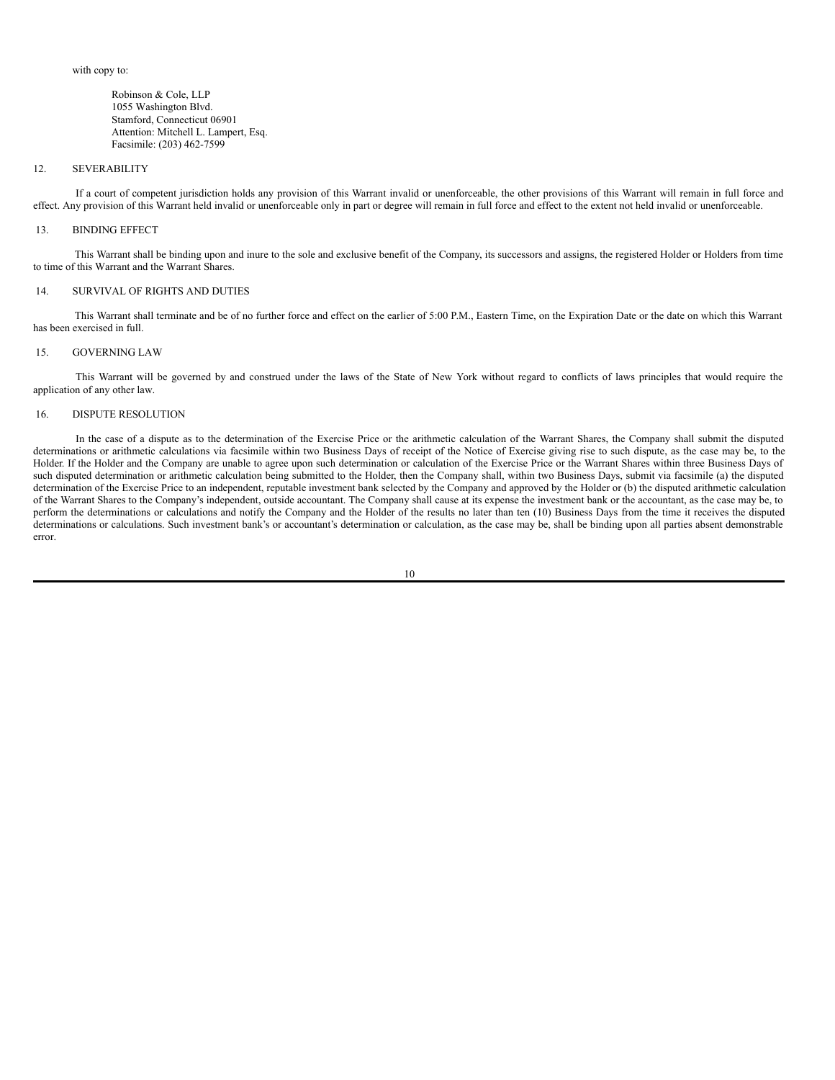with copy to:

Robinson & Cole, LLP 1055 Washington Blvd. Stamford, Connecticut 06901 Attention: Mitchell L. Lampert, Esq. Facsimile: (203) 462-7599

#### 12. SEVERABILITY

If a court of competent jurisdiction holds any provision of this Warrant invalid or unenforceable, the other provisions of this Warrant will remain in full force and effect. Any provision of this Warrant held invalid or unenforceable only in part or degree will remain in full force and effect to the extent not held invalid or unenforceable.

#### 13. BINDING EFFECT

This Warrant shall be binding upon and inure to the sole and exclusive benefit of the Company, its successors and assigns, the registered Holder or Holders from time to time of this Warrant and the Warrant Shares.

#### 14. SURVIVAL OF RIGHTS AND DUTIES

This Warrant shall terminate and be of no further force and effect on the earlier of 5:00 P.M., Eastern Time, on the Expiration Date or the date on which this Warrant has been exercised in full.

#### 15. GOVERNING LAW

This Warrant will be governed by and construed under the laws of the State of New York without regard to conflicts of laws principles that would require the application of any other law.

### 16. DISPUTE RESOLUTION

In the case of a dispute as to the determination of the Exercise Price or the arithmetic calculation of the Warrant Shares, the Company shall submit the disputed determinations or arithmetic calculations via facsimile within two Business Days of receipt of the Notice of Exercise giving rise to such dispute, as the case may be, to the Holder. If the Holder and the Company are unable to agree upon such determination or calculation of the Exercise Price or the Warrant Shares within three Business Days of such disputed determination or arithmetic calculation being submitted to the Holder, then the Company shall, within two Business Days, submit via facsimile (a) the disputed determination of the Exercise Price to an independent, reputable investment bank selected by the Company and approved by the Holder or (b) the disputed arithmetic calculation of the Warrant Shares to the Company's independent, outside accountant. The Company shall cause at its expense the investment bank or the accountant, as the case may be, to perform the determinations or calculations and notify the Company and the Holder of the results no later than ten (10) Business Days from the time it receives the disputed determinations or calculations. Such investment bank's or accountant's determination or calculation, as the case may be, shall be binding upon all parties absent demonstrable error.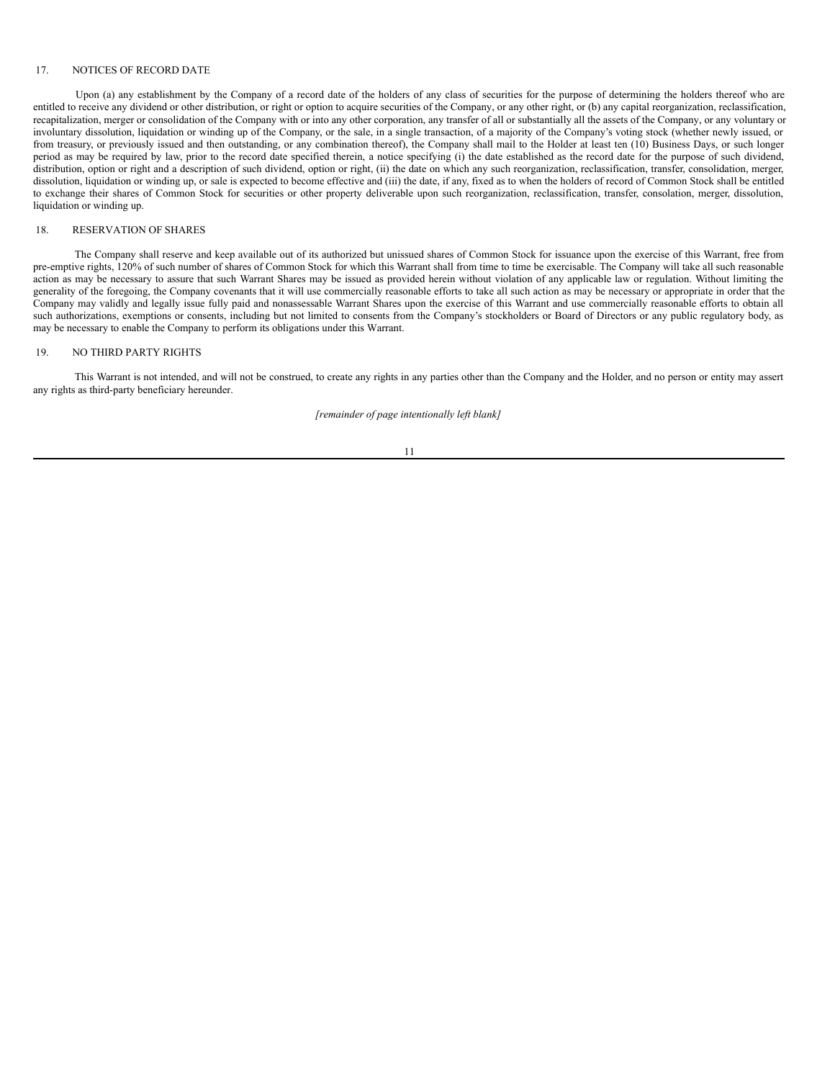## 17. NOTICES OF RECORD DATE

Upon (a) any establishment by the Company of a record date of the holders of any class of securities for the purpose of determining the holders thereof who are entitled to receive any dividend or other distribution, or right or option to acquire securities of the Company, or any other right, or (b) any capital reorganization, reclassification, recapitalization, merger or consolidation of the Company with or into any other corporation, any transfer of all or substantially all the assets of the Company, or any voluntary or involuntary dissolution, liquidation or winding up of the Company, or the sale, in a single transaction, of a majority of the Company's voting stock (whether newly issued, or from treasury, or previously issued and then outstanding, or any combination thereof), the Company shall mail to the Holder at least ten (10) Business Days, or such longer period as may be required by law, prior to the record date specified therein, a notice specifying (i) the date established as the record date for the purpose of such dividend, distribution, option or right and a description of such dividend, option or right, (ii) the date on which any such reorganization, reclassification, transfer, consolidation, merger, dissolution, liquidation or winding up, or sale is expected to become effective and (iii) the date, if any, fixed as to when the holders of record of Common Stock shall be entitled to exchange their shares of Common Stock for securities or other property deliverable upon such reorganization, reclassification, transfer, consolation, merger, dissolution, liquidation or winding up.

### 18. RESERVATION OF SHARES

The Company shall reserve and keep available out of its authorized but unissued shares of Common Stock for issuance upon the exercise of this Warrant, free from pre-emptive rights, 120% of such number of shares of Common Stock for which this Warrant shall from time to time be exercisable. The Company will take all such reasonable action as may be necessary to assure that such Warrant Shares may be issued as provided herein without violation of any applicable law or regulation. Without limiting the generality of the foregoing, the Company covenants that it will use commercially reasonable efforts to take all such action as may be necessary or appropriate in order that the Company may validly and legally issue fully paid and nonassessable Warrant Shares upon the exercise of this Warrant and use commercially reasonable efforts to obtain all such authorizations, exemptions or consents, including but not limited to consents from the Company's stockholders or Board of Directors or any public regulatory body, as may be necessary to enable the Company to perform its obligations under this Warrant.

#### 19. NO THIRD PARTY RIGHTS

This Warrant is not intended, and will not be construed, to create any rights in any parties other than the Company and the Holder, and no person or entity may assert any rights as third-party beneficiary hereunder.

*[remainder of page intentionally left blank]*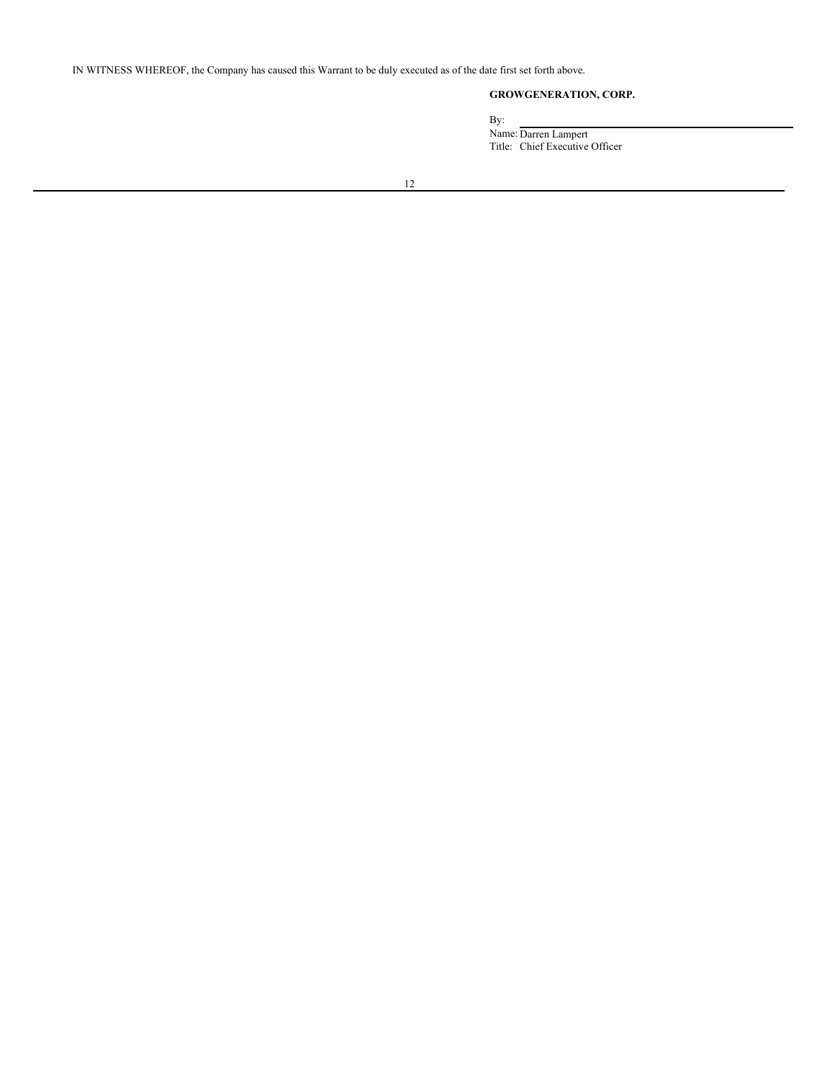IN WITNESS WHEREOF, the Company has caused this Warrant to be duly executed as of the date first set forth above.

# **GROWGENERATION, CORP.**

By:

Name: Darren Lampert Title: Chief Executive Officer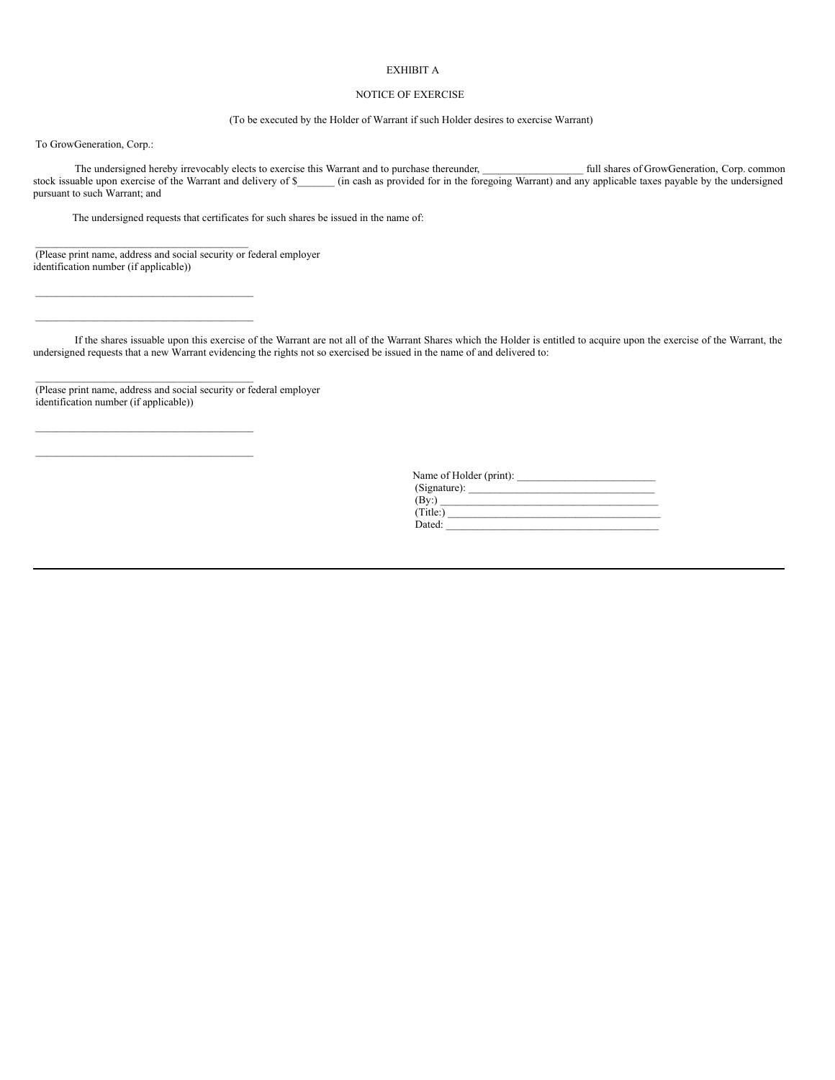## EXHIBIT A

## NOTICE OF EXERCISE

(To be executed by the Holder of Warrant if such Holder desires to exercise Warrant)

To GrowGeneration, Corp.:

The undersigned hereby irrevocably elects to exercise this Warrant and to purchase thereunder, **the start of GrowGeneration**, Corp. common stock issuable upon exercise of the Warrant and delivery of \$ (in cash as provided for in the foregoing Warrant) and any applicable taxes payable by the undersigned pursuant to such Warrant; and

The undersigned requests that certificates for such shares be issued in the name of:

(Please print name, address and social security or federal employer identification number (if applicable))

 $\mathcal{L}_\text{max}$ 

 $\mathcal{L}_\text{max}$  $\mathcal{L}_\text{max}$ 

 $\mathcal{L}_\text{max}$ 

 $\mathcal{L}_\text{max}$  $\mathcal{L}_\text{max}$ 

If the shares issuable upon this exercise of the Warrant are not all of the Warrant Shares which the Holder is entitled to acquire upon the exercise of the Warrant, the undersigned requests that a new Warrant evidencing the rights not so exercised be issued in the name of and delivered to:

(Please print name, address and social security or federal employer identification number (if applicable))

> Name of Holder (print): \_\_\_\_\_\_\_\_\_\_\_\_\_\_\_\_\_\_\_\_\_\_\_\_\_\_  $(Signature):$  $(\text{By:})$  $(Title: )$ Dated: